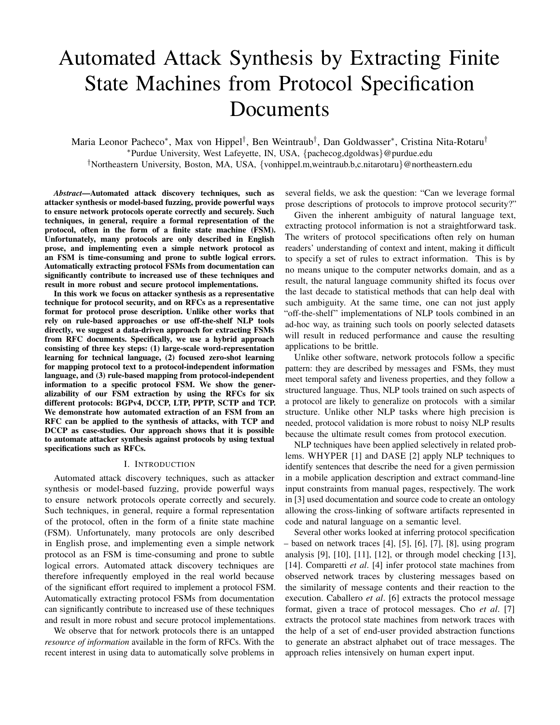# Automated Attack Synthesis by Extracting Finite State Machines from Protocol Specification Documents

Maria Leonor Pacheco<sup>∗</sup> , Max von Hippel† , Ben Weintraub† , Dan Goldwasser<sup>∗</sup> , Cristina Nita-Rotaru† <sup>∗</sup>Purdue University, West Lafeyette, IN, USA, {pachecog,dgoldwas}@purdue.edu †Northeastern University, Boston, MA, USA, {vonhippel.m,weintraub.b,c.nitarotaru}@northeastern.edu

*Abstract*—Automated attack discovery techniques, such as attacker synthesis or model-based fuzzing, provide powerful ways to ensure network protocols operate correctly and securely. Such techniques, in general, require a formal representation of the protocol, often in the form of a finite state machine (FSM). Unfortunately, many protocols are only described in English prose, and implementing even a simple network protocol as an FSM is time-consuming and prone to subtle logical errors. Automatically extracting protocol FSMs from documentation can significantly contribute to increased use of these techniques and result in more robust and secure protocol implementations.

In this work we focus on attacker synthesis as a representative technique for protocol security, and on RFCs as a representative format for protocol prose description. Unlike other works that rely on rule-based approaches or use off-the-shelf NLP tools directly, we suggest a data-driven approach for extracting FSMs from RFC documents. Specifically, we use a hybrid approach consisting of three key steps: (1) large-scale word-representation learning for technical language, (2) focused zero-shot learning for mapping protocol text to a protocol-independent information language, and (3) rule-based mapping from protocol-independent information to a specific protocol FSM. We show the generalizability of our FSM extraction by using the RFCs for six different protocols: BGPv4, DCCP, LTP, PPTP, SCTP and TCP. We demonstrate how automated extraction of an FSM from an RFC can be applied to the synthesis of attacks, with TCP and DCCP as case-studies. Our approach shows that it is possible to automate attacker synthesis against protocols by using textual specifications such as RFCs.

#### I. INTRODUCTION

Automated attack discovery techniques, such as attacker synthesis or model-based fuzzing, provide powerful ways to ensure network protocols operate correctly and securely. Such techniques, in general, require a formal representation of the protocol, often in the form of a finite state machine (FSM). Unfortunately, many protocols are only described in English prose, and implementing even a simple network protocol as an FSM is time-consuming and prone to subtle logical errors. Automated attack discovery techniques are therefore infrequently employed in the real world because of the significant effort required to implement a protocol FSM. Automatically extracting protocol FSMs from documentation can significantly contribute to increased use of these techniques and result in more robust and secure protocol implementations.

We observe that for network protocols there is an untapped *resource of information* available in the form of RFCs. With the recent interest in using data to automatically solve problems in several fields, we ask the question: "Can we leverage formal prose descriptions of protocols to improve protocol security?"

Given the inherent ambiguity of natural language text, extracting protocol information is not a straightforward task. The writers of protocol specifications often rely on human readers' understanding of context and intent, making it difficult to specify a set of rules to extract information. This is by no means unique to the computer networks domain, and as a result, the natural language community shifted its focus over the last decade to statistical methods that can help deal with such ambiguity. At the same time, one can not just apply "off-the-shelf" implementations of NLP tools combined in an ad-hoc way, as training such tools on poorly selected datasets will result in reduced performance and cause the resulting applications to be brittle.

Unlike other software, network protocols follow a specific pattern: they are described by messages and FSMs, they must meet temporal safety and liveness properties, and they follow a structured language. Thus, NLP tools trained on such aspects of a protocol are likely to generalize on protocols with a similar structure. Unlike other NLP tasks where high precision is needed, protocol validation is more robust to noisy NLP results because the ultimate result comes from protocol execution.

NLP techniques have been applied selectively in related problems. WHYPER [1] and DASE [2] apply NLP techniques to identify sentences that describe the need for a given permission in a mobile application description and extract command-line input constraints from manual pages, respectively. The work in [3] used documentation and source code to create an ontology allowing the cross-linking of software artifacts represented in code and natural language on a semantic level.

Several other works looked at inferring protocol specification – based on network traces [4], [5], [6], [7], [8], using program analysis [9], [10], [11], [12], or through model checking [13], [14]. Comparetti *et al*. [4] infer protocol state machines from observed network traces by clustering messages based on the similarity of message contents and their reaction to the execution. Caballero *et al*. [6] extracts the protocol message format, given a trace of protocol messages. Cho *et al*. [7] extracts the protocol state machines from network traces with the help of a set of end-user provided abstraction functions to generate an abstract alphabet out of trace messages. The approach relies intensively on human expert input.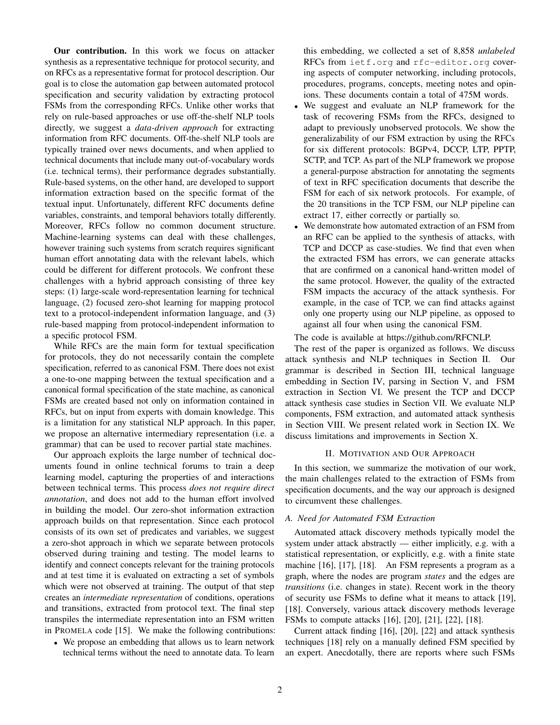Our contribution. In this work we focus on attacker synthesis as a representative technique for protocol security, and on RFCs as a representative format for protocol description. Our goal is to close the automation gap between automated protocol specification and security validation by extracting protocol FSMs from the corresponding RFCs. Unlike other works that rely on rule-based approaches or use off-the-shelf NLP tools directly, we suggest a *data-driven approach* for extracting information from RFC documents. Off-the-shelf NLP tools are typically trained over news documents, and when applied to technical documents that include many out-of-vocabulary words (i.e. technical terms), their performance degrades substantially. Rule-based systems, on the other hand, are developed to support information extraction based on the specific format of the textual input. Unfortunately, different RFC documents define variables, constraints, and temporal behaviors totally differently. Moreover, RFCs follow no common document structure. Machine-learning systems can deal with these challenges, however training such systems from scratch requires significant human effort annotating data with the relevant labels, which could be different for different protocols. We confront these challenges with a hybrid approach consisting of three key steps: (1) large-scale word-representation learning for technical language, (2) focused zero-shot learning for mapping protocol text to a protocol-independent information language, and (3) rule-based mapping from protocol-independent information to a specific protocol FSM.

While RFCs are the main form for textual specification for protocols, they do not necessarily contain the complete specification, referred to as canonical FSM. There does not exist a one-to-one mapping between the textual specification and a canonical formal specification of the state machine, as canonical FSMs are created based not only on information contained in RFCs, but on input from experts with domain knowledge. This is a limitation for any statistical NLP approach. In this paper, we propose an alternative intermediary representation (i.e. a grammar) that can be used to recover partial state machines.

Our approach exploits the large number of technical documents found in online technical forums to train a deep learning model, capturing the properties of and interactions between technical terms. This process *does not require direct annotation*, and does not add to the human effort involved in building the model. Our zero-shot information extraction approach builds on that representation. Since each protocol consists of its own set of predicates and variables, we suggest a zero-shot approach in which we separate between protocols observed during training and testing. The model learns to identify and connect concepts relevant for the training protocols and at test time it is evaluated on extracting a set of symbols which were not observed at training. The output of that step creates an *intermediate representation* of conditions, operations and transitions, extracted from protocol text. The final step transpiles the intermediate representation into an FSM written in PROMELA code [15]. We make the following contributions:

• We propose an embedding that allows us to learn network technical terms without the need to annotate data. To learn this embedding, we collected a set of 8,858 *unlabeled* RFCs from ietf.org and rfc-editor.org covering aspects of computer networking, including protocols, procedures, programs, concepts, meeting notes and opinions. These documents contain a total of 475M words.

- We suggest and evaluate an NLP framework for the task of recovering FSMs from the RFCs, designed to adapt to previously unobserved protocols. We show the generalizability of our FSM extraction by using the RFCs for six different protocols: BGPv4, DCCP, LTP, PPTP, SCTP, and TCP. As part of the NLP framework we propose a general-purpose abstraction for annotating the segments of text in RFC specification documents that describe the FSM for each of six network protocols. For example, of the 20 transitions in the TCP FSM, our NLP pipeline can extract 17, either correctly or partially so.
- We demonstrate how automated extraction of an FSM from an RFC can be applied to the synthesis of attacks, with TCP and DCCP as case-studies. We find that even when the extracted FSM has errors, we can generate attacks that are confirmed on a canonical hand-written model of the same protocol. However, the quality of the extracted FSM impacts the accuracy of the attack synthesis. For example, in the case of TCP, we can find attacks against only one property using our NLP pipeline, as opposed to against all four when using the canonical FSM.

# The code is available at https://github.com/RFCNLP.

The rest of the paper is organized as follows. We discuss attack synthesis and NLP techniques in Section II. Our grammar is described in Section III, technical language embedding in Section IV, parsing in Section V, and FSM extraction in Section VI. We present the TCP and DCCP attack synthesis case studies in Section VII. We evaluate NLP components, FSM extraction, and automated attack synthesis in Section VIII. We present related work in Section IX. We discuss limitations and improvements in Section X.

#### II. MOTIVATION AND OUR APPROACH

In this section, we summarize the motivation of our work, the main challenges related to the extraction of FSMs from specification documents, and the way our approach is designed to circumvent these challenges.

## *A. Need for Automated FSM Extraction*

Automated attack discovery methods typically model the system under attack abstractly — either implicitly, e.g. with a statistical representation, or explicitly, e.g. with a finite state machine [16], [17], [18]. An FSM represents a program as a graph, where the nodes are program *states* and the edges are *transitions* (i.e. changes in state). Recent work in the theory of security use FSMs to define what it means to attack [19], [18]. Conversely, various attack discovery methods leverage FSMs to compute attacks [16], [20], [21], [22], [18].

Current attack finding [16], [20], [22] and attack synthesis techniques [18] rely on a manually defined FSM specified by an expert. Anecdotally, there are reports where such FSMs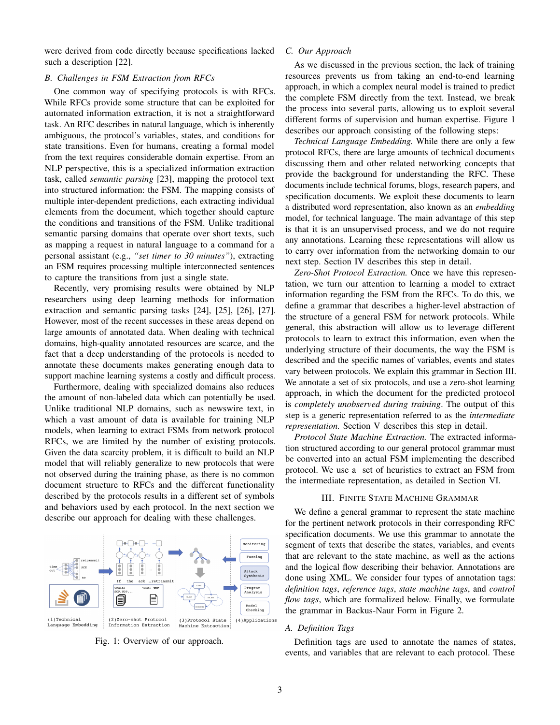were derived from code directly because specifications lacked such a description [22].

#### *B. Challenges in FSM Extraction from RFCs*

One common way of specifying protocols is with RFCs. While RFCs provide some structure that can be exploited for automated information extraction, it is not a straightforward task. An RFC describes in natural language, which is inherently ambiguous, the protocol's variables, states, and conditions for state transitions. Even for humans, creating a formal model from the text requires considerable domain expertise. From an NLP perspective, this is a specialized information extraction task, called *semantic parsing* [23], mapping the protocol text into structured information: the FSM. The mapping consists of multiple inter-dependent predictions, each extracting individual elements from the document, which together should capture the conditions and transitions of the FSM. Unlike traditional semantic parsing domains that operate over short texts, such as mapping a request in natural language to a command for a personal assistant (e.g., *"set timer to 30 minutes"*), extracting an FSM requires processing multiple interconnected sentences to capture the transitions from just a single state.

Recently, very promising results were obtained by NLP researchers using deep learning methods for information extraction and semantic parsing tasks [24], [25], [26], [27]. However, most of the recent successes in these areas depend on large amounts of annotated data. When dealing with technical domains, high-quality annotated resources are scarce, and the fact that a deep understanding of the protocols is needed to annotate these documents makes generating enough data to support machine learning systems a costly and difficult process.

Furthermore, dealing with specialized domains also reduces the amount of non-labeled data which can potentially be used. Unlike traditional NLP domains, such as newswire text, in which a vast amount of data is available for training NLP models, when learning to extract FSMs from network protocol RFCs, we are limited by the number of existing protocols. Given the data scarcity problem, it is difficult to build an NLP model that will reliably generalize to new protocols that were not observed during the training phase, as there is no common document structure to RFCs and the different functionality described by the protocols results in a different set of symbols and behaviors used by each protocol. In the next section we describe our approach for dealing with these challenges.



Fig. 1: Overview of our approach.

#### *C. Our Approach*

As we discussed in the previous section, the lack of training resources prevents us from taking an end-to-end learning approach, in which a complex neural model is trained to predict the complete FSM directly from the text. Instead, we break the process into several parts, allowing us to exploit several different forms of supervision and human expertise. Figure 1 describes our approach consisting of the following steps:

*Technical Language Embedding.* While there are only a few protocol RFCs, there are large amounts of technical documents discussing them and other related networking concepts that provide the background for understanding the RFC. These documents include technical forums, blogs, research papers, and specification documents. We exploit these documents to learn a distributed word representation, also known as an *embedding* model, for technical language. The main advantage of this step is that it is an unsupervised process, and we do not require any annotations. Learning these representations will allow us to carry over information from the networking domain to our next step. Section IV describes this step in detail.

*Zero-Shot Protocol Extraction.* Once we have this representation, we turn our attention to learning a model to extract information regarding the FSM from the RFCs. To do this, we define a grammar that describes a higher-level abstraction of the structure of a general FSM for network protocols. While general, this abstraction will allow us to leverage different protocols to learn to extract this information, even when the underlying structure of their documents, the way the FSM is described and the specific names of variables, events and states vary between protocols. We explain this grammar in Section III. We annotate a set of six protocols, and use a zero-shot learning approach, in which the document for the predicted protocol is *completely unobserved during training*. The output of this step is a generic representation referred to as the *intermediate representation.* Section V describes this step in detail.

*Protocol State Machine Extraction.* The extracted information structured according to our general protocol grammar must be converted into an actual FSM implementing the described protocol. We use a set of heuristics to extract an FSM from the intermediate representation, as detailed in Section VI.

## III. FINITE STATE MACHINE GRAMMAR

We define a general grammar to represent the state machine for the pertinent network protocols in their corresponding RFC specification documents. We use this grammar to annotate the segment of texts that describe the states, variables, and events that are relevant to the state machine, as well as the actions and the logical flow describing their behavior. Annotations are done using XML. We consider four types of annotation tags: *definition tags*, *reference tags*, *state machine tags*, and *control flow tags*, which are formalized below. Finally, we formulate the grammar in Backus-Naur Form in Figure 2.

# *A. Definition Tags*

Definition tags are used to annotate the names of states, events, and variables that are relevant to each protocol. These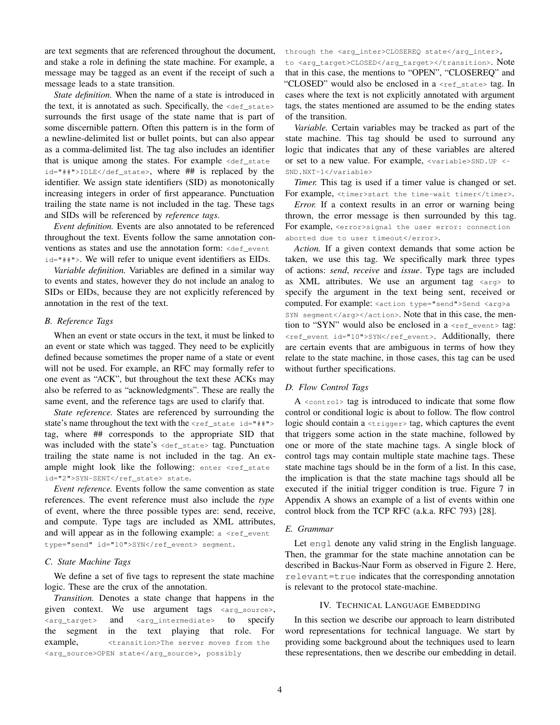are text segments that are referenced throughout the document, and stake a role in defining the state machine. For example, a message may be tagged as an event if the receipt of such a message leads to a state transition.

*State definition.* When the name of a state is introduced in the text, it is annotated as such. Specifically, the  $\langle \text{def\_state} \rangle$ surrounds the first usage of the state name that is part of some discernible pattern. Often this pattern is in the form of a newline-delimited list or bullet points, but can also appear as a comma-delimited list. The tag also includes an identifier that is unique among the states. For example <def\_state id="##">IDLE</def\_state>, where ## is replaced by the identifier. We assign state identifiers (SID) as monotonically increasing integers in order of first appearance. Punctuation trailing the state name is not included in the tag. These tags and SIDs will be referenced by *reference tags*.

*Event definition.* Events are also annotated to be referenced throughout the text. Events follow the same annotation conventions as states and use the annotation form: <def\_event id="##">. We will refer to unique event identifiers as EIDs.

*Variable definition.* Variables are defined in a similar way to events and states, however they do not include an analog to SIDs or EIDs, because they are not explicitly referenced by annotation in the rest of the text.

#### *B. Reference Tags*

When an event or state occurs in the text, it must be linked to an event or state which was tagged. They need to be explicitly defined because sometimes the proper name of a state or event will not be used. For example, an RFC may formally refer to one event as "ACK", but throughout the text these ACKs may also be referred to as "acknowledgments". These are really the same event, and the reference tags are used to clarify that.

*State reference.* States are referenced by surrounding the state's name throughout the text with the <ref\_state id="##"> tag, where ## corresponds to the appropriate SID that was included with the state's <def\_state> tag. Punctuation trailing the state name is not included in the tag. An example might look like the following: enter <ref\_state id="2">SYN-SENT</ref\_state> state.

*Event reference.* Events follow the same convention as state references. The event reference must also include the *type* of event, where the three possible types are: send, receive, and compute. Type tags are included as XML attributes, and will appear as in the following example:  $a \leq r \in f_{\text{event}}$ type="send" id="10">SYN</ref\_event> segment.

#### *C. State Machine Tags*

We define a set of five tags to represent the state machine logic. These are the crux of the annotation.

*Transition.* Denotes a state change that happens in the given context. We use argument tags <arg\_source>, <arg\_target> and <arg\_intermediate> to specify the segment in the text playing that role. For example, <transition>The server moves from the <arg\_source>OPEN state</arg\_source>, possibly

through the <arg\_inter>CLOSEREQ state</arg\_inter>, to <arg\_target>CLOSED</arg\_target></transition>. Note that in this case, the mentions to "OPEN", "CLOSEREQ" and "CLOSED" would also be enclosed in a <ref\_state> tag. In cases where the text is not explicitly annotated with argument tags, the states mentioned are assumed to be the ending states of the transition.

*Variable.* Certain variables may be tracked as part of the state machine. This tag should be used to surround any logic that indicates that any of these variables are altered or set to a new value. For example, <variable>SND.UP <- SND.NXT-1</variable>

*Timer.* This tag is used if a timer value is changed or set. For example, <timer>start the time-wait timer</timer>.

*Error.* If a context results in an error or warning being thrown, the error message is then surrounded by this tag. For example, <error>signal the user error: connection aborted due to user timeout</error>.

*Action.* If a given context demands that some action be taken, we use this tag. We specifically mark three types of actions: *send*, *receive* and *issue*. Type tags are included as XML attributes. We use an argument tag  $\langle \text{arg} \rangle$  to specify the argument in the text being sent, received or computed. For example: <action type="send">Send <arg>a SYN segment</arg></action>. Note that in this case, the mention to "SYN" would also be enclosed in a <ref\_event> tag: <ref\_event id="10">SYN</ref\_event>. Additionally, there are certain events that are ambiguous in terms of how they relate to the state machine, in those cases, this tag can be used without further specifications.

#### *D. Flow Control Tags*

A <control> tag is introduced to indicate that some flow control or conditional logic is about to follow. The flow control logic should contain a <trigger> tag, which captures the event that triggers some action in the state machine, followed by one or more of the state machine tags. A single block of control tags may contain multiple state machine tags. These state machine tags should be in the form of a list. In this case, the implication is that the state machine tags should all be executed if the initial trigger condition is true. Figure 7 in Appendix A shows an example of a list of events within one control block from the TCP RFC (a.k.a. RFC 793) [28].

# *E. Grammar*

Let engl denote any valid string in the English language. Then, the grammar for the state machine annotation can be described in Backus-Naur Form as observed in Figure 2. Here, relevant=true indicates that the corresponding annotation is relevant to the protocol state-machine.

#### IV. TECHNICAL LANGUAGE EMBEDDING

In this section we describe our approach to learn distributed word representations for technical language. We start by providing some background about the techniques used to learn these representations, then we describe our embedding in detail.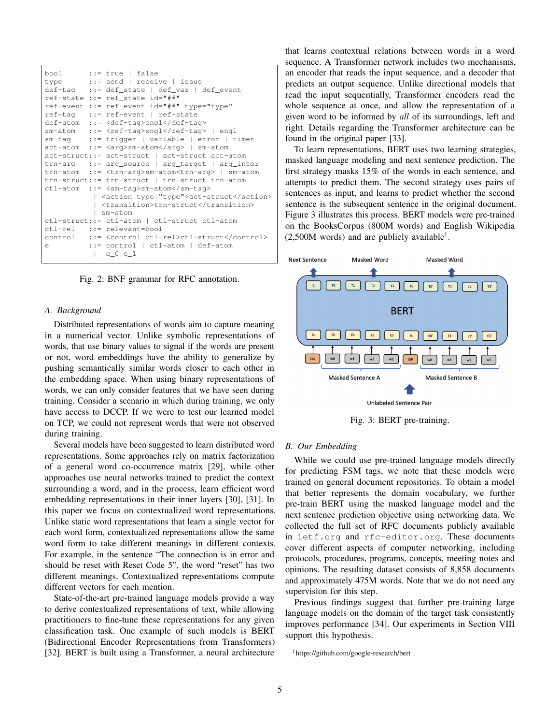|          | bool ::= true   false<br>type ::= send   receive   issue<br>$def-tag$ := $def\_state$   $def\_var$   $def\_event$<br>$ref-state ::= ref state id="++"$<br>ref-event ::= ref_event id="##" type="type" |
|----------|-------------------------------------------------------------------------------------------------------------------------------------------------------------------------------------------------------|
|          | ref-tag ::= ref-event   ref-state<br>$def-atom :: = engl /def-taq$                                                                                                                                    |
|          | $sm-atom$ ::= $\leq r\in f-tag\geq nql$ /ref-tag>   engl                                                                                                                                              |
|          | $sm-taq$ := trigger   variable   error   timer                                                                                                                                                        |
|          | $act-atom$ ::= $\langle arg>sm-atom \langle arg>1$ sm-atom                                                                                                                                            |
|          | $act-struct ::= act-struct   act-struct act-act-atom$                                                                                                                                                 |
|          | trn-arg ::= arg_source   arg_target   arg_inter                                                                                                                                                       |
|          | trn-atom ::= <trn-arg>sm-atom<trn-arg>   sm-atom</trn-arg></trn-arg>                                                                                                                                  |
|          | trn-struct::= trn-struct   trn-struct trn-atom                                                                                                                                                        |
|          | $ctl$ -atom ::= <sm-taq>sm-atom</sm-taq>                                                                                                                                                              |
|          | <action type="type">act-struct</action><br>  <transition>trn-struct</transition><br>I sm-atom                                                                                                         |
|          | ctl-struct::= ctl-atom   ctl-struct ctl-atom                                                                                                                                                          |
|          | ctl-rel ::= relevant=bool                                                                                                                                                                             |
| $\Theta$ | control ::= <control ctl-rel="">ctl-struct</control><br>$::=$ control   ctl-atom   def-atom<br> e0e1                                                                                                  |

Fig. 2: BNF grammar for RFC annotation.

#### *A. Background*

Distributed representations of words aim to capture meaning in a numerical vector. Unlike symbolic representations of words, that use binary values to signal if the words are present or not, word embeddings have the ability to generalize by pushing semantically similar words closer to each other in the embedding space. When using binary representations of words, we can only consider features that we have seen during training. Consider a scenario in which during training, we only have access to DCCP. If we were to test our learned model on TCP, we could not represent words that were not observed during training.

Several models have been suggested to learn distributed word representations. Some approaches rely on matrix factorization of a general word co-occurrence matrix [29], while other approaches use neural networks trained to predict the context surrounding a word, and in the process, learn efficient word embedding representations in their inner layers [30], [31]. In this paper we focus on contextualized word representations. Unlike static word representations that learn a single vector for each word form, contextualized representations allow the same word form to take different meanings in different contexts. For example, in the sentence "The connection is in error and should be reset with Reset Code 5", the word "reset" has two different meanings. Contextualized representations compute different vectors for each mention.

State-of-the-art pre-trained language models provide a way to derive contextualized representations of text, while allowing practitioners to fine-tune these representations for any given classification task. One example of such models is BERT (Bidirectional Encoder Representations from Transformers) [32]. BERT is built using a Transformer, a neural architecture that learns contextual relations between words in a word sequence. A Transformer network includes two mechanisms, an encoder that reads the input sequence, and a decoder that predicts an output sequence. Unlike directional models that read the input sequentially, Transformer encoders read the whole sequence at once, and allow the representation of a given word to be informed by *all* of its surroundings, left and right. Details regarding the Transformer architecture can be found in the original paper [33].

To learn representations, BERT uses two learning strategies, masked language modeling and next sentence prediction. The first strategy masks 15% of the words in each sentence, and attempts to predict them. The second strategy uses pairs of sentences as input, and learns to predict whether the second sentence is the subsequent sentence in the original document. Figure 3 illustrates this process. BERT models were pre-trained on the BooksCorpus (800M words) and English Wikipedia  $(2,500M$  words) and are publicly available<sup>1</sup>.



Fig. 3: BERT pre-training.

#### *B. Our Embedding*

While we could use pre-trained language models directly for predicting FSM tags, we note that these models were trained on general document repositories. To obtain a model that better represents the domain vocabulary, we further pre-train BERT using the masked language model and the next sentence prediction objective using networking data. We collected the full set of RFC documents publicly available in ietf.org and rfc-editor.org. These documents cover different aspects of computer networking, including protocols, procedures, programs, concepts, meeting notes and opinions. The resulting dataset consists of 8,858 documents and approximately 475M words. Note that we do not need any supervision for this step.

Previous findings suggest that further pre-training large language models on the domain of the target task consistently improves performance [34]. Our experiments in Section VIII support this hypothesis.

<sup>1</sup>https://github.com/google-research/bert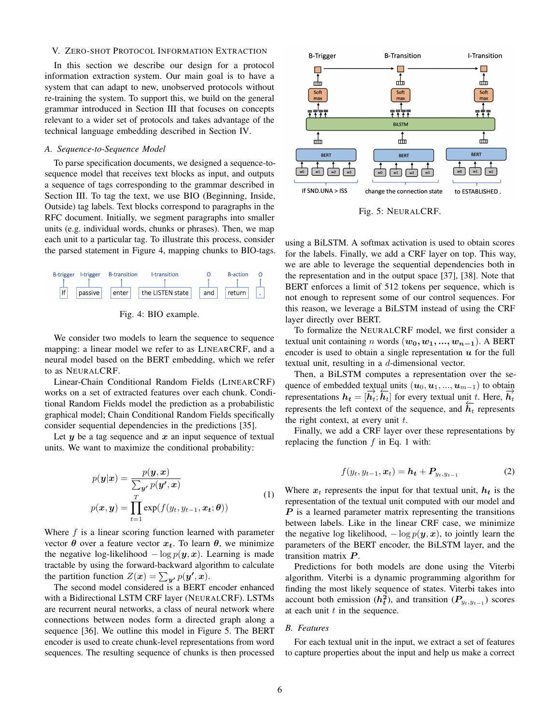## V. ZERO-SHOT PROTOCOL INFORMATION EXTRACTION

In this section we describe our design for a protocol information extraction system. Our main goal is to have a system that can adapt to new, unobserved protocols without re-training the system. To support this, we build on the general grammar introduced in Section III that focuses on concepts relevant to a wider set of protocols and takes advantage of the technical language embedding described in Section IV.

#### *A. Sequence-to-Sequence Model*

To parse specification documents, we designed a sequence-tosequence model that receives text blocks as input, and outputs a sequence of tags corresponding to the grammar described in Section III. To tag the text, we use BIO (Beginning, Inside, Outside) tag labels. Text blocks correspond to paragraphs in the RFC document. Initially, we segment paragraphs into smaller units (e.g. individual words, chunks or phrases). Then, we map each unit to a particular tag. To illustrate this process, consider the parsed statement in Figure 4, mapping chunks to BIO-tags.



Fig. 4: BIO example.

We consider two models to learn the sequence to sequence mapping: a linear model we refer to as LINEARCRF, and a neural model based on the BERT embedding, which we refer to as NEURALCRF.

Linear-Chain Conditional Random Fields (LINEARCRF) works on a set of extracted features over each chunk. Conditional Random Fields model the prediction as a probabilistic graphical model; Chain Conditional Random Fields specifically consider sequential dependencies in the predictions [35].

Let  $y$  be a tag sequence and  $x$  an input sequence of textual units. We want to maximize the conditional probability:

$$
p(\mathbf{y}|\mathbf{x}) = \frac{p(\mathbf{y}, \mathbf{x})}{\sum_{\mathbf{y'} p(\mathbf{y'}, \mathbf{x})}}\tag{1}
$$

$$
p(\mathbf{x}, \mathbf{y}) = \prod_{t=1}^{T} \exp(f(y_t, y_{t-1}, \mathbf{x_t}; \boldsymbol{\theta}))
$$

Where  $f$  is a linear scoring function learned with parameter vector  $\theta$  over a feature vector  $x_t$ . To learn  $\theta$ , we minimize the negative log-likelihood  $-\log p(\mathbf{y}, \mathbf{x})$ . Learning is made tractable by using the forward-backward algorithm to calculate the partition function  $Z(\mathbf{x}) = \sum_{\mathbf{y'}} p(\mathbf{y'}, \mathbf{x})$ .

The second model considered is a BERT encoder enhanced with a Bidirectional LSTM CRF layer (NEURALCRF). LSTMs are recurrent neural networks, a class of neural network where connections between nodes form a directed graph along a sequence [36]. We outline this model in Figure 5. The BERT encoder is used to create chunk-level representations from word sequences. The resulting sequence of chunks is then processed



Fig. 5: NEURALCRF.

using a BiLSTM. A softmax activation is used to obtain scores for the labels. Finally, we add a CRF layer on top. This way, we are able to leverage the sequential dependencies both in the representation and in the output space [37], [38]. Note that BERT enforces a limit of 512 tokens per sequence, which is not enough to represent some of our control sequences. For this reason, we leverage a BiLSTM instead of using the CRF layer directly over BERT.

To formalize the NEURALCRF model, we first consider a textual unit containing n words  $(w_0, w_1, ..., w_{n-1})$ . A BERT encoder is used to obtain a single representation  $u$  for the full textual unit, resulting in a d-dimensional vector.

Then, a BiLSTM computes a representation over the sequence of embedded textual units  $(u_0, u_1, ..., u_{m-1})$  to obtain representations  $h_t = [\vec{h}_t; \vec{h}_t]$  for every textual unit t. Here,  $\vec{h}_t$ representations  $\vec{h}_t = [\vec{h}_t, \vec{h}_t]$  for every textual unit  $\vec{h}_t$ . Fiere,  $\vec{h}_t$  represents the right context, at every unit  $t$ .

Finally, we add a CRF layer over these representations by replacing the function  $f$  in Eq. 1 with:

$$
f(y_t, y_{t-1}, x_t) = \boldsymbol{h_t} + \boldsymbol{P}_{y_t, y_{t-1}}
$$
 (2)

Where  $x_t$  represents the input for that textual unit,  $h_t$  is the representation of the textual unit computed with our model and  $P$  is a learned parameter matrix representing the transitions between labels. Like in the linear CRF case, we minimize the negative log likelihood,  $-\log p(\mathbf{y}, \mathbf{x})$ , to jointly learn the parameters of the BERT encoder, the BiLSTM layer, and the transition matrix  $P$ .

Predictions for both models are done using the Viterbi algorithm. Viterbi is a dynamic programming algorithm for finding the most likely sequence of states. Viterbi takes into account both emission  $(h_t^2)$ , and transition  $(P_{y_t, y_{t-1}})$  scores at each unit  $t$  in the sequence.

# *B. Features*

For each textual unit in the input, we extract a set of features to capture properties about the input and help us make a correct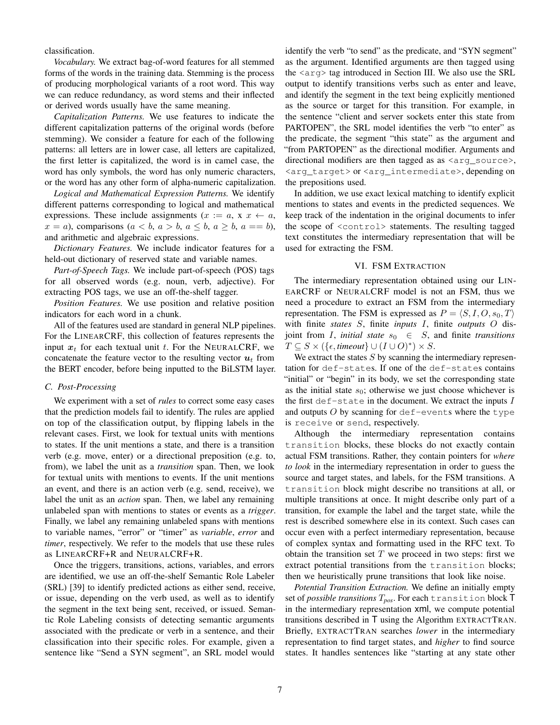classification.

*Vocabulary.* We extract bag-of-word features for all stemmed forms of the words in the training data. Stemming is the process of producing morphological variants of a root word. This way we can reduce redundancy, as word stems and their inflected or derived words usually have the same meaning.

*Capitalization Patterns.* We use features to indicate the different capitalization patterns of the original words (before stemming). We consider a feature for each of the following patterns: all letters are in lower case, all letters are capitalized, the first letter is capitalized, the word is in camel case, the word has only symbols, the word has only numeric characters, or the word has any other form of alpha-numeric capitalization.

*Logical and Mathematical Expression Patterns.* We identify different patterns corresponding to logical and mathematical expressions. These include assignments  $(x := a, x \in a)$ ,  $x = a$ , comparisons  $(a < b, a > b, a \leq b, a \geq b, a == b)$ , and arithmetic and algebraic expressions.

*Dictionary Features.* We include indicator features for a held-out dictionary of reserved state and variable names.

*Part-of-Speech Tags.* We include part-of-speech (POS) tags for all observed words (e.g. noun, verb, adjective). For extracting POS tags, we use an off-the-shelf tagger.

*Position Features.* We use position and relative position indicators for each word in a chunk.

All of the features used are standard in general NLP pipelines. For the LINEARCRF, this collection of features represents the input  $x_t$  for each textual unit t. For the NEURALCRF, we concatenate the feature vector to the resulting vector  $u_t$  from the BERT encoder, before being inputted to the BiLSTM layer.

# *C. Post-Processing*

We experiment with a set of *rules* to correct some easy cases that the prediction models fail to identify. The rules are applied on top of the classification output, by flipping labels in the relevant cases. First, we look for textual units with mentions to states. If the unit mentions a state, and there is a transition verb (e.g. move, enter) or a directional preposition (e.g. to, from), we label the unit as a *transition* span. Then, we look for textual units with mentions to events. If the unit mentions an event, and there is an action verb (e.g. send, receive), we label the unit as an *action* span. Then, we label any remaining unlabeled span with mentions to states or events as a *trigger*. Finally, we label any remaining unlabeled spans with mentions to variable names, "error" or "timer" as *variable*, *error* and *timer*, respectively. We refer to the models that use these rules as LINEARCRF+R and NEURALCRF+R.

Once the triggers, transitions, actions, variables, and errors are identified, we use an off-the-shelf Semantic Role Labeler (SRL) [39] to identify predicted actions as either send, receive, or issue, depending on the verb used, as well as to identify the segment in the text being sent, received, or issued. Semantic Role Labeling consists of detecting semantic arguments associated with the predicate or verb in a sentence, and their classification into their specific roles. For example, given a sentence like "Send a SYN segment", an SRL model would

identify the verb "to send" as the predicate, and "SYN segment" as the argument. Identified arguments are then tagged using the  $\langle \arg \rangle$  tag introduced in Section III. We also use the SRL output to identify transitions verbs such as enter and leave, and identify the segment in the text being explicitly mentioned as the source or target for this transition. For example, in the sentence "client and server sockets enter this state from PARTOPEN", the SRL model identifies the verb "to enter" as the predicate, the segment "this state" as the argument and "from PARTOPEN" as the directional modifier. Arguments and directional modifiers are then tagged as as  $\langle \text{arg\_source} \rangle$ , <arg\_target> or <arg\_intermediate>, depending on the prepositions used.

In addition, we use exact lexical matching to identify explicit mentions to states and events in the predicted sequences. We keep track of the indentation in the original documents to infer the scope of <control> statements. The resulting tagged text constitutes the intermediary representation that will be used for extracting the FSM.

## VI. FSM EXTRACTION

The intermediary representation obtained using our LIN-EARCRF or NEURALCRF model is not an FSM, thus we need a procedure to extract an FSM from the intermediary representation. The FSM is expressed as  $P = \langle S, I, O, s_0, T \rangle$ with finite *states* S, finite *inputs* I, finite *outputs* O disjoint from *I*, *initial state*  $s_0 \in S$ , and finite *transitions*  $T \subseteq S \times (\{\epsilon, \text{timeout}\} \cup (I \cup O)^*) \times S.$ 

We extract the states  $S$  by scanning the intermediary representation for def-states. If one of the def-states contains "initial" or "begin" in its body, we set the corresponding state as the initial state  $s_0$ ; otherwise we just choose whichever is the first def-state in the document. We extract the inputs  $I$ and outputs  $O$  by scanning for def-events where the type is receive or send, respectively.

Although the intermediary representation contains transition blocks, these blocks do not exactly contain actual FSM transitions. Rather, they contain pointers for *where to look* in the intermediary representation in order to guess the source and target states, and labels, for the FSM transitions. A transition block might describe no transitions at all, or multiple transitions at once. It might describe only part of a transition, for example the label and the target state, while the rest is described somewhere else in its context. Such cases can occur even with a perfect intermediary representation, because of complex syntax and formatting used in the RFC text. To obtain the transition set  $T$  we proceed in two steps: first we extract potential transitions from the transition blocks; then we heuristically prune transitions that look like noise.

*Potential Transition Extraction.* We define an initially empty set of *possible transitions* T*pos*. For each transition block T in the intermediary representation xml, we compute potential transitions described in T using the Algorithm EXTRACTTRAN. Briefly, EXTRACTTRAN searches *lower* in the intermediary representation to find target states, and *higher* to find source states. It handles sentences like "starting at any state other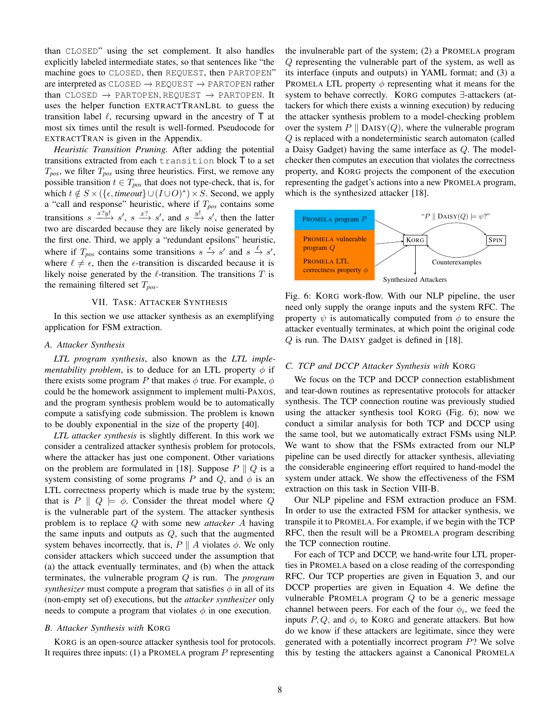than CLOSED" using the set complement. It also handles explicitly labeled intermediate states, so that sentences like "the machine goes to CLOSED, then REQUEST, then PARTOPEN" are interpreted as  $\text{CLOSED} \rightarrow \text{REQUEST} \rightarrow \text{PARTOPEN}\$ rather than CLOSED  $\rightarrow$  PARTOPEN, REQUEST  $\rightarrow$  PARTOPEN. It uses the helper function EXTRACTTRANLBL to guess the transition label  $\ell$ , recursing upward in the ancestry of  $\mathsf T$  at most six times until the result is well-formed. Pseudocode for EXTRACTTRAN is given in the Appendix.

*Heuristic Transition Pruning.* After adding the potential transitions extracted from each transition block T to a set T*pos*, we filter T*pos* using three heuristics. First, we remove any possible transition  $t \in T_{pos}$  that does not type-check, that is, for which  $t \notin S \times (\{\epsilon, \text{timeout}\} \cup (I \cup O)^*) \times S$ . Second, we apply a "call and response" heuristic, where if T*pos* contains some transitions  $s \xrightarrow{x?y!} s'$ ,  $s \xrightarrow{x?} s'$ , and  $s \xrightarrow{y!} s'$ , then the latter two are discarded because they are likely noise generated by the first one. Third, we apply a "redundant epsilons" heuristic, where if  $T_{pos}$  contains some transitions  $s \stackrel{\epsilon}{\to} s'$  and  $s \stackrel{\ell}{\to} s'$ , where  $\ell \neq \epsilon$ , then the  $\epsilon$ -transition is discarded because it is likely noise generated by the  $\ell$ -transition. The transitions  $T$  is the remaining filtered set T*pos*.

# VII. TASK: ATTACKER SYNTHESIS

In this section we use attacker synthesis as an exemplifying application for FSM extraction.

#### *A. Attacker Synthesis*

*LTL program synthesis*, also known as the *LTL implementability problem*, is to deduce for an LTL property  $\phi$  if there exists some program P that makes  $\phi$  true. For example,  $\phi$ could be the homework assignment to implement multi-PAXOS, and the program synthesis problem would be to automatically compute a satisfying code submission. The problem is known to be doubly exponential in the size of the property [40].

*LTL attacker synthesis* is slightly different. In this work we consider a centralized attacker synthesis problem for protocols, where the attacker has just one component. Other variations on the problem are formulated in [18]. Suppose  $P \parallel Q$  is a system consisting of some programs P and Q, and  $\phi$  is an LTL correctness property which is made true by the system; that is  $P \parallel Q \models \phi$ . Consider the threat model where Q is the vulnerable part of the system. The attacker synthesis problem is to replace Q with some new *attacker* A having the same inputs and outputs as  $Q$ , such that the augmented system behaves incorrectly, that is,  $P \parallel A$  violates  $\phi$ . We only consider attackers which succeed under the assumption that (a) the attack eventually terminates, and (b) when the attack terminates, the vulnerable program Q is run. The *program synthesizer* must compute a program that satisfies  $\phi$  in all of its (non-empty set of) executions, but the *attacker synthesizer* only needs to compute a program that violates  $\phi$  in one execution.

#### *B. Attacker Synthesis with* KORG

KORG is an open-source attacker synthesis tool for protocols. It requires three inputs: (1) a PROMELA program  $P$  representing

the invulnerable part of the system; (2) a PROMELA program Q representing the vulnerable part of the system, as well as its interface (inputs and outputs) in YAML format; and (3) a PROMELA LTL property  $\phi$  representing what it means for the system to behave correctly. KORG computes ∃-attackers (attackers for which there exists a winning execution) by reducing the attacker synthesis problem to a model-checking problem over the system  $P \parallel$  DAISY(Q), where the vulnerable program Q is replaced with a nondeterministic search automaton (called a Daisy Gadget) having the same interface as Q. The modelchecker then computes an execution that violates the correctness property, and KORG projects the component of the execution representing the gadget's actions into a new PROMELA program, which is the synthesized attacker [18].



Fig. 6: KORG work-flow. With our NLP pipeline, the user need only supply the orange inputs and the system RFC. The property  $\psi$  is automatically computed from  $\phi$  to ensure the attacker eventually terminates, at which point the original code Q is run. The DAISY gadget is defined in [18].

# *C. TCP and DCCP Attacker Synthesis with* KORG

We focus on the TCP and DCCP connection establishment and tear-down routines as representative protocols for attacker synthesis. The TCP connection routine was previously studied using the attacker synthesis tool KORG (Fig. 6); now we conduct a similar analysis for both TCP and DCCP using the same tool, but we automatically extract FSMs using NLP. We want to show that the FSMs extracted from our NLP pipeline can be used directly for attacker synthesis, alleviating the considerable engineering effort required to hand-model the system under attack. We show the effectiveness of the FSM extraction on this task in Section VIII-B.

Our NLP pipeline and FSM extraction produce an FSM. In order to use the extracted FSM for attacker synthesis, we transpile it to PROMELA. For example, if we begin with the TCP RFC, then the result will be a PROMELA program describing the TCP connection routine.

For each of TCP and DCCP, we hand-write four LTL properties in PROMELA based on a close reading of the corresponding RFC. Our TCP properties are given in Equation 3, and our DCCP properties are given in Equation 4. We define the vulnerable PROMELA program  $Q$  to be a generic message channel between peers. For each of the four  $\phi_i$ , we feed the inputs  $P, Q$ , and  $\phi_i$  to KORG and generate attackers. But how do we know if these attackers are legitimate, since they were generated with a potentially incorrect program P? We solve this by testing the attackers against a Canonical PROMELA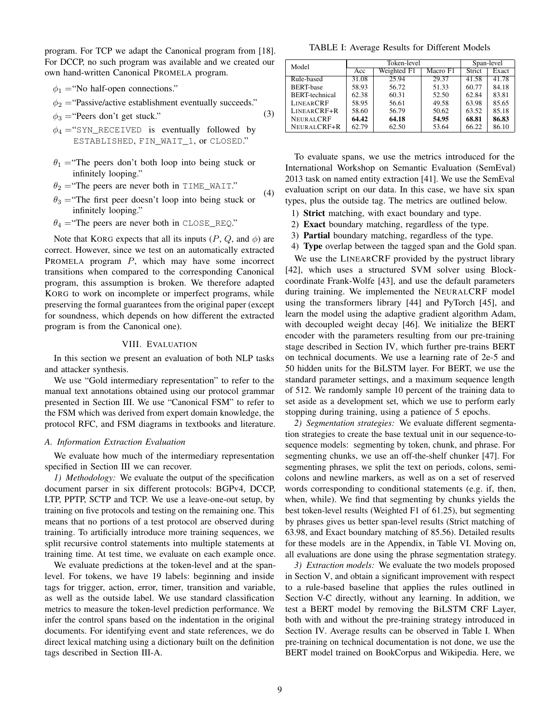program. For TCP we adapt the Canonical program from [18]. For DCCP, no such program was available and we created our own hand-written Canonical PROMELA program.

- $\phi_1$  = "No half-open connections."
- $\phi_2$  = "Passive/active establishment eventually succeeds."

(3)

 $\phi_3$  = "Peers don't get stuck."

- $\phi_4$  = "SYN RECEIVED is eventually followed by ESTABLISHED, FIN\_WAIT\_1, or CLOSED."
- $\theta_1$  = "The peers don't both loop into being stuck or infinitely looping."

 $\theta_2$  = "The peers are never both in TIME\_WAIT."

- $\theta_3$  = "The first peer doesn't loop into being stuck or infinitely looping." (4)
- $\theta_4$  = "The peers are never both in CLOSE\_REQ."

Note that KORG expects that all its inputs  $(P, Q, \text{ and } \phi)$  are correct. However, since we test on an automatically extracted PROMELA program P, which may have some incorrect transitions when compared to the corresponding Canonical program, this assumption is broken. We therefore adapted KORG to work on incomplete or imperfect programs, while preserving the formal guarantees from the original paper (except for soundness, which depends on how different the extracted program is from the Canonical one).

#### VIII. EVALUATION

In this section we present an evaluation of both NLP tasks and attacker synthesis.

We use "Gold intermediary representation" to refer to the manual text annotations obtained using our protocol grammar presented in Section III. We use "Canonical FSM" to refer to the FSM which was derived from expert domain knowledge, the protocol RFC, and FSM diagrams in textbooks and literature.

#### *A. Information Extraction Evaluation*

We evaluate how much of the intermediary representation specified in Section III we can recover.

*1) Methodology:* We evaluate the output of the specification document parser in six different protocols: BGPv4, DCCP, LTP, PPTP, SCTP and TCP. We use a leave-one-out setup, by training on five protocols and testing on the remaining one. This means that no portions of a test protocol are observed during training. To artificially introduce more training sequences, we split recursive control statements into multiple statements at training time. At test time, we evaluate on each example once.

We evaluate predictions at the token-level and at the spanlevel. For tokens, we have 19 labels: beginning and inside tags for trigger, action, error, timer, transition and variable, as well as the outside label. We use standard classification metrics to measure the token-level prediction performance. We infer the control spans based on the indentation in the original documents. For identifying event and state references, we do direct lexical matching using a dictionary built on the definition tags described in Section III-A.

TABLE I: Average Results for Different Models

| Model                 |                                | Token-level | Span-level |               |       |
|-----------------------|--------------------------------|-------------|------------|---------------|-------|
|                       | Weighted F1<br>Macro F1<br>Acc |             |            | <b>Strict</b> | Exact |
| Rule-based            | 31.08                          | 25.94       | 29.37      | 41.58         | 41.78 |
| <b>BERT-base</b>      | 58.93                          | 56.72       | 51.33      | 60.77         | 84.18 |
| <b>BERT-technical</b> | 62.38                          | 60.31       | 52.50      | 62.84         | 83.81 |
| <b>LINEARCRF</b>      | 58.95                          | 56.61       | 49.58      | 63.98         | 85.65 |
| LINEARCRF+R           | 58.60                          | 56.79       | 50.62      | 63.52         | 85.18 |
| <b>NEURALCRF</b>      | 64.42                          | 64.18       | 54.95      | 68.81         | 86.83 |
| NEURALCRF+R           | 62.79                          | 62.50       | 53.64      | 66.22         | 86.10 |

To evaluate spans, we use the metrics introduced for the International Workshop on Semantic Evaluation (SemEval) 2013 task on named entity extraction [41]. We use the SemEval evaluation script on our data. In this case, we have six span types, plus the outside tag. The metrics are outlined below.

- 1) Strict matching, with exact boundary and type.
- 2) Exact boundary matching, regardless of the type.
- 3) Partial boundary matching, regardless of the type.
- 4) Type overlap between the tagged span and the Gold span.

We use the LINEARCRF provided by the pystruct library [42], which uses a structured SVM solver using Blockcoordinate Frank-Wolfe [43], and use the default parameters during training. We implemented the NEURALCRF model using the transformers library [44] and PyTorch [45], and learn the model using the adaptive gradient algorithm Adam, with decoupled weight decay [46]. We initialize the BERT encoder with the parameters resulting from our pre-training stage described in Section IV, which further pre-trains BERT on technical documents. We use a learning rate of 2e-5 and 50 hidden units for the BiLSTM layer. For BERT, we use the standard parameter settings, and a maximum sequence length of 512. We randomly sample 10 percent of the training data to set aside as a development set, which we use to perform early stopping during training, using a patience of 5 epochs.

*2) Segmentation strategies:* We evaluate different segmentation strategies to create the base textual unit in our sequence-tosequence models: segmenting by token, chunk, and phrase. For segmenting chunks, we use an off-the-shelf chunker [47]. For segmenting phrases, we split the text on periods, colons, semicolons and newline markers, as well as on a set of reserved words corresponding to conditional statements (e.g. if, then, when, while). We find that segmenting by chunks yields the best token-level results (Weighted F1 of 61.25), but segmenting by phrases gives us better span-level results (Strict matching of 63.98, and Exact boundary matching of 85.56). Detailed results for these models are in the Appendix, in Table VI. Moving on, all evaluations are done using the phrase segmentation strategy.

*3) Extraction models:* We evaluate the two models proposed in Section V, and obtain a significant improvement with respect to a rule-based baseline that applies the rules outlined in Section V-C directly, without any learning. In addition, we test a BERT model by removing the BiLSTM CRF Layer, both with and without the pre-training strategy introduced in Section IV. Average results can be observed in Table I. When pre-training on technical documentation is not done, we use the BERT model trained on BookCorpus and Wikipedia. Here, we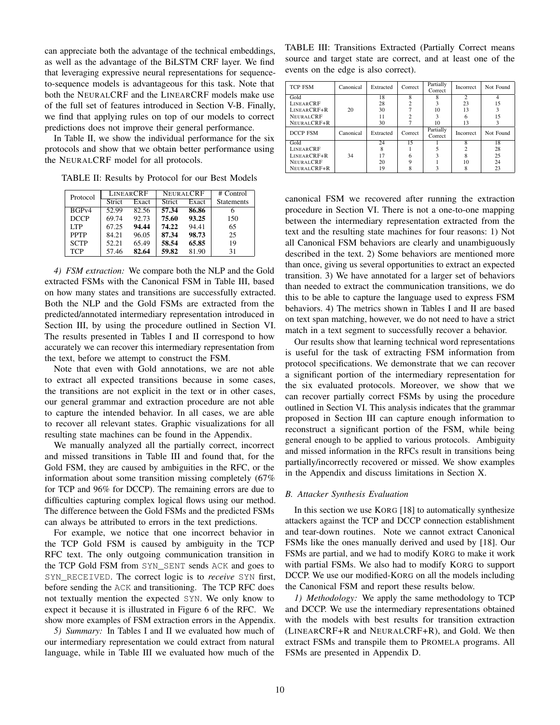can appreciate both the advantage of the technical embeddings, as well as the advantage of the BiLSTM CRF layer. We find that leveraging expressive neural representations for sequenceto-sequence models is advantageous for this task. Note that both the NEURALCRF and the LINEARCRF models make use of the full set of features introduced in Section V-B. Finally, we find that applying rules on top of our models to correct predictions does not improve their general performance.

In Table II, we show the individual performance for the six protocols and show that we obtain better performance using the NEURALCRF model for all protocols.

TABLE II: Results by Protocol for our Best Models

| Protocol    |        | <b>LINEARCRF</b> |               | NEURALCRF | $#$ Control       |
|-------------|--------|------------------|---------------|-----------|-------------------|
|             | Strict | Exact            | <b>Strict</b> | Exact     | <b>Statements</b> |
| BGPV4       | 52.99  | 82.56            | 57.34         | 86.86     | n                 |
| <b>DCCP</b> | 69.74  | 92.73            | 75.60         | 93.25     | 150               |
| <b>TTP</b>  | 67.25  | 94.44            | 74.22         | 94.41     | 65                |
| <b>PPTP</b> | 84.21  | 96.05            | 87.34         | 98.73     | 25                |
| <b>SCTP</b> | 52.21  | 65.49            | 58.54         | 65.85     | 19                |
| <b>TCP</b>  | 57.46  | 82.64            | 59.82         | 81.90     | 31                |

*4) FSM extraction:* We compare both the NLP and the Gold extracted FSMs with the Canonical FSM in Table III, based on how many states and transitions are successfully extracted. Both the NLP and the Gold FSMs are extracted from the predicted/annotated intermediary representation introduced in Section III, by using the procedure outlined in Section VI. The results presented in Tables I and II correspond to how accurately we can recover this intermediary representation from the text, before we attempt to construct the FSM.

Note that even with Gold annotations, we are not able to extract all expected transitions because in some cases, the transitions are not explicit in the text or in other cases, our general grammar and extraction procedure are not able to capture the intended behavior. In all cases, we are able to recover all relevant states. Graphic visualizations for all resulting state machines can be found in the Appendix.

We manually analyzed all the partially correct, incorrect and missed transitions in Table III and found that, for the Gold FSM, they are caused by ambiguities in the RFC, or the information about some transition missing completely (67% for TCP and 96% for DCCP). The remaining errors are due to difficulties capturing complex logical flows using our method. The difference between the Gold FSMs and the predicted FSMs can always be attributed to errors in the text predictions.

For example, we notice that one incorrect behavior in the TCP Gold FSM is caused by ambiguity in the TCP RFC text. The only outgoing communication transition in the TCP Gold FSM from SYN\_SENT sends ACK and goes to SYN\_RECEIVED. The correct logic is to *receive* SYN first, before sending the ACK and transitioning. The TCP RFC does not textually mention the expected SYN. We only know to expect it because it is illustrated in Figure 6 of the RFC. We show more examples of FSM extraction errors in the Appendix.

*5) Summary:* In Tables I and II we evaluated how much of our intermediary representation we could extract from natural language, while in Table III we evaluated how much of the

TABLE III: Transitions Extracted (Partially Correct means source and target state are correct, and at least one of the events on the edge is also correct).

| <b>TCP FSM</b>   | Canonical | Extracted | Correct | Partially<br>Correct | Incorrect     | Not Found |
|------------------|-----------|-----------|---------|----------------------|---------------|-----------|
| Gold             |           | 18        | 8       | 8                    | $\mathcal{D}$ |           |
| <b>LINEARCRF</b> |           | 28        |         |                      | 23            | 15        |
| LINEARCRF+R      | 20        | 30        |         | 10                   | 13            |           |
| <b>NEURALCRE</b> |           | 11        |         |                      |               | 15        |
| NEURALCRF+R      |           | 30        |         | 10                   | 13            |           |
| DCCP FSM         | Canonical | Extracted | Correct | Partially<br>Correct | Incorrect     | Not Found |
| Gold             |           | 24        | 15      |                      | 8             | 18        |
| <b>LINEARCRF</b> |           |           |         |                      |               | 28        |
| LINEARCRF+R      | 34        | 17        |         |                      |               | 25        |
| <b>NEURALCRF</b> |           | 20        |         |                      | 10            | 24        |
| NEURALCRF+R      |           | 19        |         |                      |               | 23        |

canonical FSM we recovered after running the extraction procedure in Section VI. There is not a one-to-one mapping between the intermediary representation extracted from the text and the resulting state machines for four reasons: 1) Not all Canonical FSM behaviors are clearly and unambiguously described in the text. 2) Some behaviors are mentioned more than once, giving us several opportunities to extract an expected transition. 3) We have annotated for a larger set of behaviors than needed to extract the communication transitions, we do this to be able to capture the language used to express FSM behaviors. 4) The metrics shown in Tables I and II are based on text span matching, however, we do not need to have a strict match in a text segment to successfully recover a behavior.

Our results show that learning technical word representations is useful for the task of extracting FSM information from protocol specifications. We demonstrate that we can recover a significant portion of the intermediary representation for the six evaluated protocols. Moreover, we show that we can recover partially correct FSMs by using the procedure outlined in Section VI. This analysis indicates that the grammar proposed in Section III can capture enough information to reconstruct a significant portion of the FSM, while being general enough to be applied to various protocols. Ambiguity and missed information in the RFCs result in transitions being partially/incorrectly recovered or missed. We show examples in the Appendix and discuss limitations in Section X.

#### *B. Attacker Synthesis Evaluation*

In this section we use KORG [18] to automatically synthesize attackers against the TCP and DCCP connection establishment and tear-down routines. Note we cannot extract Canonical FSMs like the ones manually derived and used by [18]. Our FSMs are partial, and we had to modify KORG to make it work with partial FSMs. We also had to modify KORG to support DCCP. We use our modified-KORG on all the models including the Canonical FSM and report these results below.

*1) Methodology:* We apply the same methodology to TCP and DCCP. We use the intermediary representations obtained with the models with best results for transition extraction (LINEARCRF+R and NEURALCRF+R), and Gold. We then extract FSMs and transpile them to PROMELA programs. All FSMs are presented in Appendix D.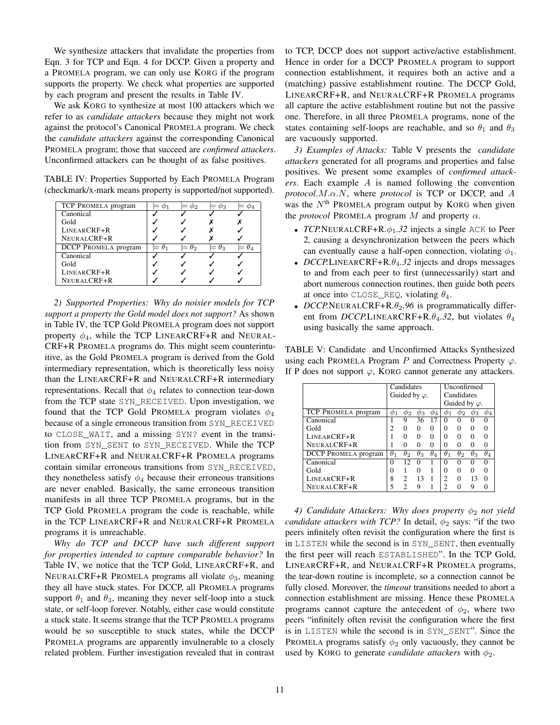We synthesize attackers that invalidate the properties from Eqn. 3 for TCP and Eqn. 4 for DCCP. Given a property and a PROMELA program, we can only use KORG if the program supports the property. We check what properties are supported by each program and present the results in Table IV.

We ask KORG to synthesize at most 100 attackers which we refer to as *candidate attackers* because they might not work against the protocol's Canonical PROMELA program. We check the *candidate attackers* against the corresponding Canonical PROMELA program; those that succeed are *confirmed attackers*. Unconfirmed attackers can be thought of as false positives.

TABLE IV: Properties Supported by Each PROMELA Program (checkmark/x-mark means property is supported/not supported).

| TCP PROMELA program         |    | Φ9. | ΦЗ |    |
|-----------------------------|----|-----|----|----|
| Canonical                   |    |     |    |    |
| Gold                        |    |     |    |    |
| LINEARCRF+R                 |    |     |    |    |
| NEURALCRF+R                 |    |     |    |    |
| <b>DCCP</b> PROMELA program | H1 | θο  | Oз | H, |
| Canonical                   |    |     |    |    |
| Gold                        |    |     |    |    |
| LINEARCRF+R                 |    |     |    |    |
| NEURALCRF+R                 |    |     |    |    |

*2) Supported Properties: Why do noisier models for TCP support a property the Gold model does not support?* As shown in Table IV, the TCP Gold PROMELA program does not support property  $\phi_4$ , while the TCP LINEARCRF+R and NEURAL-CRF+R PROMELA programs do. This might seem counterintuitive, as the Gold PROMELA program is derived from the Gold intermediary representation, which is theoretically less noisy than the LINEARCRF+R and NEURALCRF+R intermediary representations. Recall that  $\phi_4$  relates to connection tear-down from the TCP state SYN\_RECEIVED. Upon investigation, we found that the TCP Gold PROMELA program violates  $\phi_4$ because of a single erroneous transition from SYN\_RECEIVED to CLOSE\_WAIT, and a missing SYN? event in the transition from SYN\_SENT to SYN\_RECEIVED. While the TCP LINEARCRF+R and NEURALCRF+R PROMELA programs contain similar erroneous transitions from SYN\_RECEIVED, they nonetheless satisfy  $\phi_4$  because their erroneous transitions are never enabled. Basically, the same erroneous transition manifests in all three TCP PROMELA programs, but in the TCP Gold PROMELA program the code is reachable, while in the TCP LINEARCRF+R and NEURALCRF+R PROMELA programs it is unreachable.

*Why do TCP and DCCP have such different support for properties intended to capture comparable behavior?* In Table IV, we notice that the TCP Gold, LINEARCRF+R, and NEURALCRF+R PROMELA programs all violate  $\phi_3$ , meaning they all have stuck states. For DCCP, all PROMELA programs support  $\theta_1$  and  $\theta_3$ , meaning they never self-loop into a stuck state, or self-loop forever. Notably, either case would constitute a stuck state. It seems strange that the TCP PROMELA programs would be so susceptible to stuck states, while the DCCP PROMELA programs are apparently invulnerable to a closely related problem. Further investigation revealed that in contrast to TCP, DCCP does not support active/active establishment. Hence in order for a DCCP PROMELA program to support connection establishment, it requires both an active and a (matching) passive establishment routine. The DCCP Gold, LINEARCRF+R, and NEURALCRF+R PROMELA programs all capture the active establishment routine but not the passive one. Therefore, in all three PROMELA programs, none of the states containing self-loops are reachable, and so  $\theta_1$  and  $\theta_3$ are vacuously supported.

*3) Examples of Attacks:* Table V presents the *candidate attackers* generated for all programs and properties and false positives. We present some examples of *confirmed attackers*. Each example A is named following the convention *protocol*.M.α.N, where *protocol* is TCP or DCCP, and A was the  $N<sup>th</sup>$  PROMELA program output by KORG when given the *protocol* PROMELA program  $M$  and property  $\alpha$ .

- *TCP.*NEURALCRF+R. $\phi_1$ .32 injects a single ACK to Peer 2, causing a desynchronization between the peers which can eventually cause a half-open connection, violating  $\phi_1$ .
- *DCCP.* LINEARCRF+R.  $\theta_4$ . 32 injects and drops messages to and from each peer to first (unnecessarily) start and abort numerous connection routines, then guide both peers at once into CLOSE\_REQ, violating  $\theta_4$ .
- *DCCP*. NEURALCRF+R $.\theta_2$ . 96 is programmatically different from *DCCP*.LINEARCRF+R. $\theta_4$ .32, but violates  $\theta_4$ using basically the same approach.

TABLE V: Candidate and Unconfirmed Attacks Synthesized using each PROMELA Program P and Correctness Property  $\varphi$ . If P does not support  $\varphi$ , KORG cannot generate any attackers.

|                      | Candidates            |                   |                   |              | Unconfirmed           |            |              |            |
|----------------------|-----------------------|-------------------|-------------------|--------------|-----------------------|------------|--------------|------------|
|                      | Guided by $\varphi$ . |                   |                   | Candidates   |                       |            |              |            |
|                      |                       |                   |                   |              | Guided by $\varphi$ . |            |              |            |
| TCP PROMELA program  |                       |                   |                   |              |                       | Φ2         |              |            |
| Canonical            |                       | 9                 | 36                |              | 0                     |            | $\theta$     |            |
| Gold                 |                       | $\mathbf{\Omega}$ | $\mathbf{\Omega}$ | 0            | 0                     |            | $\theta$     |            |
| LINEARCRF+R          |                       |                   | 0                 | 0            | 0                     |            |              |            |
| NEURALCRE+R          |                       |                   | ∩                 | ∩            | 0                     |            |              |            |
| DCCP PROMELA program | $\theta_1$            | $\theta_2$        | $\theta_3$        | $\theta_{A}$ | $\theta_1$            | $\theta_2$ | $\theta_3$   | $\theta_4$ |
| Canonical            | 0                     | 12                | 0                 |              | 0                     |            | $\mathbf{0}$ |            |
| Gold                 | 0                     |                   | 0                 |              | 0                     |            |              |            |
| LINEARCRF+R          | 8                     | 2                 | 13                |              | 2                     | 0          | 13           |            |
| NEURALCRE+R          | 5                     |                   | Q                 |              | 2                     |            | Q            |            |

*4) Candidate Attackers: Why does property*  $φ_2$  *not yield candidate attackers with TCP?* In detail,  $\phi_2$  says: "if the two peers infinitely often revisit the configuration where the first is in LISTEN while the second is in SYN\_SENT, then eventually the first peer will reach ESTABLISHED". In the TCP Gold, LINEARCRF+R, and NEURALCRF+R PROMELA programs, the tear-down routine is incomplete, so a connection cannot be fully closed. Moreover, the *timeout* transitions needed to abort a connection establishment are missing. Hence these PROMELA programs cannot capture the antecedent of  $\phi_2$ , where two peers "infinitely often revisit the configuration where the first is in LISTEN while the second is in SYN\_SENT". Since the PROMELA programs satisfy  $\phi_2$  only vacuously, they cannot be used by KORG to generate *candidate attackers* with  $\phi_2$ .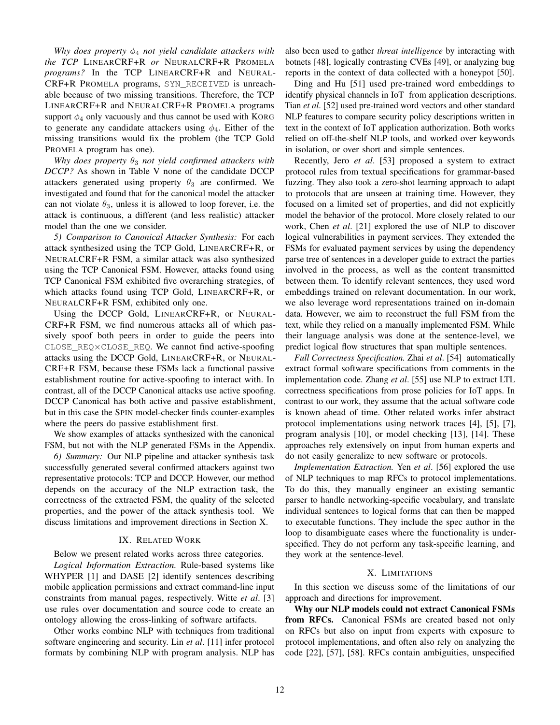*Why does property*  $\phi_4$  *not yield candidate attackers with the TCP* LINEARCRF+R *or* NEURALCRF+R PROMELA *programs?* In the TCP LINEARCRF+R and NEURAL-CRF+R PROMELA programs, SYN\_RECEIVED is unreachable because of two missing transitions. Therefore, the TCP LINEARCRF+R and NEURALCRF+R PROMELA programs support  $\phi_4$  only vacuously and thus cannot be used with KORG to generate any candidate attackers using  $\phi_4$ . Either of the missing transitions would fix the problem (the TCP Gold PROMELA program has one).

*Why does property* θ<sup>3</sup> *not yield confirmed attackers with DCCP?* As shown in Table V none of the candidate DCCP attackers generated using property  $\theta_3$  are confirmed. We investigated and found that for the canonical model the attacker can not violate  $\theta_3$ , unless it is allowed to loop forever, i.e. the attack is continuous, a different (and less realistic) attacker model than the one we consider.

*5) Comparison to Canonical Attacker Synthesis:* For each attack synthesized using the TCP Gold, LINEARCRF+R, or NEURALCRF+R FSM, a similar attack was also synthesized using the TCP Canonical FSM. However, attacks found using TCP Canonical FSM exhibited five overarching strategies, of which attacks found using TCP Gold, LINEARCRF+R, or NEURALCRF+R FSM, exhibited only one.

Using the DCCP Gold, LINEARCRF+R, or NEURAL-CRF+R FSM, we find numerous attacks all of which passively spoof both peers in order to guide the peers into CLOSE\_REQ×CLOSE\_REQ. We cannot find active-spoofing attacks using the DCCP Gold, LINEARCRF+R, or NEURAL-CRF+R FSM, because these FSMs lack a functional passive establishment routine for active-spoofing to interact with. In contrast, all of the DCCP Canonical attacks use active spoofing. DCCP Canonical has both active and passive establishment, but in this case the SPIN model-checker finds counter-examples where the peers do passive establishment first.

We show examples of attacks synthesized with the canonical FSM, but not with the NLP generated FSMs in the Appendix.

*6) Summary:* Our NLP pipeline and attacker synthesis task successfully generated several confirmed attackers against two representative protocols: TCP and DCCP. However, our method depends on the accuracy of the NLP extraction task, the correctness of the extracted FSM, the quality of the selected properties, and the power of the attack synthesis tool. We discuss limitations and improvement directions in Section X.

#### IX. RELATED WORK

Below we present related works across three categories.

*Logical Information Extraction.* Rule-based systems like WHYPER [1] and DASE [2] identify sentences describing mobile application permissions and extract command-line input constraints from manual pages, respectively. Witte *et al*. [3] use rules over documentation and source code to create an ontology allowing the cross-linking of software artifacts.

Other works combine NLP with techniques from traditional software engineering and security. Lin *et al*. [11] infer protocol formats by combining NLP with program analysis. NLP has also been used to gather *threat intelligence* by interacting with botnets [48], logically contrasting CVEs [49], or analyzing bug reports in the context of data collected with a honeypot [50].

Ding and Hu [51] used pre-trained word embeddings to identify physical channels in IoT from application descriptions. Tian *et al*. [52] used pre-trained word vectors and other standard NLP features to compare security policy descriptions written in text in the context of IoT application authorization. Both works relied on off-the-shelf NLP tools, and worked over keywords in isolation, or over short and simple sentences.

Recently, Jero *et al*. [53] proposed a system to extract protocol rules from textual specifications for grammar-based fuzzing. They also took a zero-shot learning approach to adapt to protocols that are unseen at training time. However, they focused on a limited set of properties, and did not explicitly model the behavior of the protocol. More closely related to our work, Chen *et al*. [21] explored the use of NLP to discover logical vulnerabilities in payment services. They extended the FSMs for evaluated payment services by using the dependency parse tree of sentences in a developer guide to extract the parties involved in the process, as well as the content transmitted between them. To identify relevant sentences, they used word embeddings trained on relevant documentation. In our work, we also leverage word representations trained on in-domain data. However, we aim to reconstruct the full FSM from the text, while they relied on a manually implemented FSM. While their language analysis was done at the sentence-level, we predict logical flow structures that span multiple sentences.

*Full Correctness Specification.* Zhai *et al*. [54] automatically extract formal software specifications from comments in the implementation code. Zhang *et al*. [55] use NLP to extract LTL correctness specifications from prose policies for IoT apps. In contrast to our work, they assume that the actual software code is known ahead of time. Other related works infer abstract protocol implementations using network traces [4], [5], [7], program analysis [10], or model checking [13], [14]. These approaches rely extensively on input from human experts and do not easily generalize to new software or protocols.

*Implementation Extraction.* Yen *et al*. [56] explored the use of NLP techniques to map RFCs to protocol implementations. To do this, they manually engineer an existing semantic parser to handle networking-specific vocabulary, and translate individual sentences to logical forms that can then be mapped to executable functions. They include the spec author in the loop to disambiguate cases where the functionality is underspecified. They do not perform any task-specific learning, and they work at the sentence-level.

# X. LIMITATIONS

In this section we discuss some of the limitations of our approach and directions for improvement.

Why our NLP models could not extract Canonical FSMs from RFCs. Canonical FSMs are created based not only on RFCs but also on input from experts with exposure to protocol implementations, and often also rely on analyzing the code [22], [57], [58]. RFCs contain ambiguities, unspecified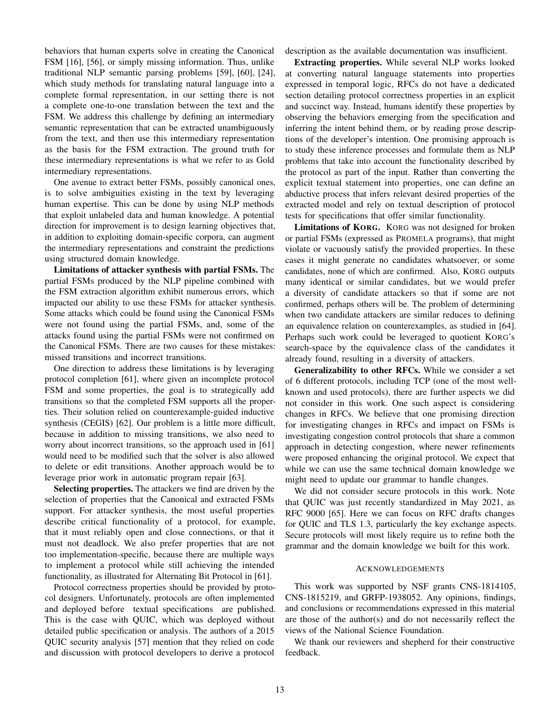behaviors that human experts solve in creating the Canonical FSM [16], [56], or simply missing information. Thus, unlike traditional NLP semantic parsing problems [59], [60], [24], which study methods for translating natural language into a complete formal representation, in our setting there is not a complete one-to-one translation between the text and the FSM. We address this challenge by defining an intermediary semantic representation that can be extracted unambiguously from the text, and then use this intermediary representation as the basis for the FSM extraction. The ground truth for these intermediary representations is what we refer to as Gold intermediary representations.

One avenue to extract better FSMs, possibly canonical ones, is to solve ambiguities existing in the text by leveraging human expertise. This can be done by using NLP methods that exploit unlabeled data and human knowledge. A potential direction for improvement is to design learning objectives that, in addition to exploiting domain-specific corpora, can augment the intermediary representations and constraint the predictions using structured domain knowledge.

Limitations of attacker synthesis with partial FSMs. The partial FSMs produced by the NLP pipeline combined with the FSM extraction algorithm exhibit numerous errors, which impacted our ability to use these FSMs for attacker synthesis. Some attacks which could be found using the Canonical FSMs were not found using the partial FSMs, and, some of the attacks found using the partial FSMs were not confirmed on the Canonical FSMs. There are two causes for these mistakes: missed transitions and incorrect transitions.

One direction to address these limitations is by leveraging protocol completion [61], where given an incomplete protocol FSM and some properties, the goal is to strategically add transitions so that the completed FSM supports all the properties. Their solution relied on counterexample-guided inductive synthesis (CEGIS) [62]. Our problem is a little more difficult, because in addition to missing transitions, we also need to worry about incorrect transitions, so the approach used in [61] would need to be modified such that the solver is also allowed to delete or edit transitions. Another approach would be to leverage prior work in automatic program repair [63].

Selecting properties. The attackers we find are driven by the selection of properties that the Canonical and extracted FSMs support. For attacker synthesis, the most useful properties describe critical functionality of a protocol, for example, that it must reliably open and close connections, or that it must not deadlock. We also prefer properties that are not too implementation-specific, because there are multiple ways to implement a protocol while still achieving the intended functionality, as illustrated for Alternating Bit Protocol in [61].

Protocol correctness properties should be provided by protocol designers. Unfortunately, protocols are often implemented and deployed before textual specifications are published. This is the case with QUIC, which was deployed without detailed public specification or analysis. The authors of a 2015 QUIC security analysis [57] mention that they relied on code and discussion with protocol developers to derive a protocol

description as the available documentation was insufficient.

Extracting properties. While several NLP works looked at converting natural language statements into properties expressed in temporal logic, RFCs do not have a dedicated section detailing protocol correctness properties in an explicit and succinct way. Instead, humans identify these properties by observing the behaviors emerging from the specification and inferring the intent behind them, or by reading prose descriptions of the developer's intention. One promising approach is to study these inference processes and formulate them as NLP problems that take into account the functionality described by the protocol as part of the input. Rather than converting the explicit textual statement into properties, one can define an abductive process that infers relevant desired properties of the extracted model and rely on textual description of protocol tests for specifications that offer similar functionality.

Limitations of KORG. KORG was not designed for broken or partial FSMs (expressed as PROMELA programs), that might violate or vacuously satisfy the provided properties. In these cases it might generate no candidates whatsoever, or some candidates, none of which are confirmed. Also, KORG outputs many identical or similar candidates, but we would prefer a diversity of candidate attackers so that if some are not confirmed, perhaps others will be. The problem of determining when two candidate attackers are similar reduces to defining an equivalence relation on counterexamples, as studied in [64]. Perhaps such work could be leveraged to quotient KORG's search-space by the equivalence class of the candidates it already found, resulting in a diversity of attackers.

Generalizability to other RFCs. While we consider a set of 6 different protocols, including TCP (one of the most wellknown and used protocols), there are further aspects we did not consider in this work. One such aspect is considering changes in RFCs. We believe that one promising direction for investigating changes in RFCs and impact on FSMs is investigating congestion control protocols that share a common approach in detecting congestion, where newer refinements were proposed enhancing the original protocol. We expect that while we can use the same technical domain knowledge we might need to update our grammar to handle changes.

We did not consider secure protocols in this work. Note that QUIC was just recently standardized in May 2021, as RFC 9000 [65]. Here we can focus on RFC drafts changes for QUIC and TLS 1.3, particularly the key exchange aspects. Secure protocols will most likely require us to refine both the grammar and the domain knowledge we built for this work.

#### ACKNOWLEDGEMENTS

This work was supported by NSF grants CNS-1814105, CNS-1815219, and GRFP-1938052. Any opinions, findings, and conclusions or recommendations expressed in this material are those of the author(s) and do not necessarily reflect the views of the National Science Foundation.

We thank our reviewers and shepherd for their constructive feedback.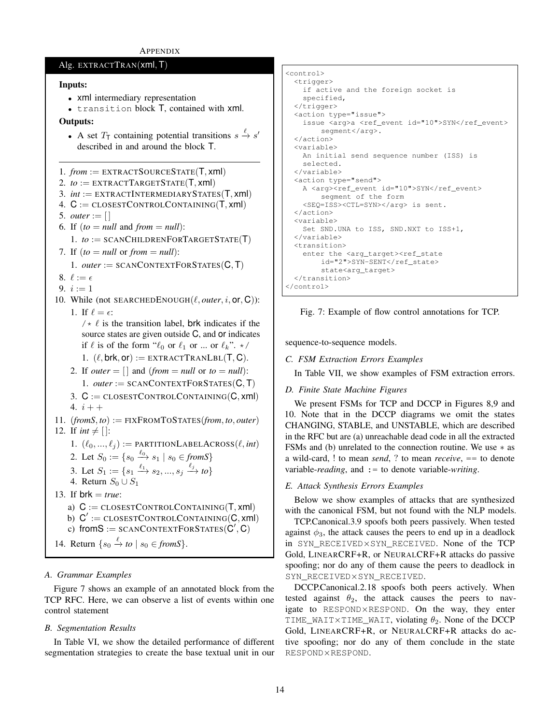# APPENDIX

# Alg. EXTRACTTRAN(xml, T)

# Inputs:

```
• xml intermediary representation
```
• transition block T, contained with xml.

# Outputs:

- A set  $T_{\text{T}}$  containing potential transitions  $s \stackrel{\ell}{\rightarrow} s'$ described in and around the block T.
- 1. *from* := EXTRACTSOURCESTATE(T, xml)
- 2.  $to := EXTRACTTARGETSTATE(T, xml)$
- 3.  $int := EXTRACTINTERMEDIARYSTATES(T, xml)$
- 4.  $C := \text{CLOSESTCONTROLCONTAINING}(T, xml)$
- 5. *outer* :=  $[$
- 6. If  $(to = null$  and  $from = null$ :
- 1.  $to :=$  SCANCHILDRENFORTARGETSTATE(T)
- 7. If  $(to = null \text{ or } from = null)$ :
	- 1. *outer* := SCANCONTEXTFORSTATES(C, T)
- 8.  $\ell := \epsilon$
- 9.  $i := 1$
- 10. While (not SEARCHEDENOUGH $(\ell, outer, i, or, C)$ ): 1. If  $\ell = \epsilon$ :

 $/\star \ell$  is the transition label, brk indicates if the source states are given outside C, and or indicates if  $\ell$  is of the form " $\ell_0$  or  $\ell_1$  or ... or  $\ell_k$ ". \*/

- 1.  $(\ell, \text{brk}, \text{or}) := \text{EXTRACTTRANLBL}(T, C)$ .
- 2. If *outer*  $= \lceil \rceil$  and (*from*  $=$  *null* or *to*  $=$  *null*): 1. *outer* := SCANCONTEXTFORSTATES(C, T)
- 3.  $C := \text{CLOSESTCONTROLCONTAINING}(C, xml)$ 4.  $i + +$
- 11.  $(fromS, to) := \text{FIXFROMTOSTATES(from, to, outer)$ 12. If *int*  $\neq$  []:
	- 1.  $(\ell_0, ..., \ell_i) := \text{PARTITIONLABELACROS}(\ell, int)$
	- 2. Let  $S_0 := \{ s_0 \xrightarrow{\ell_0} s_1 \mid s_0 \in \text{from } S \}$
	- 3. Let  $S_1 := \{s_1 \xrightarrow{\ell_1} s_2, ..., s_j \xrightarrow{\ell_j} to\}$
	- 4. Return  $S_0 \cup S_1$
- 13. If  $brk = true$ :
	- a)  $C := \text{CLOSESTCONTROLCONTAINING}(T, xml)$
	- b)  $C' := \text{closestConvrnoLConlNNnG}(C, xml)$

```
c) from S := SCANCONTEXTFORSTATES(C', C)
```

```
14. Return \{s_0 \stackrel{\ell}{\rightarrow} to \mid s_0 \in \text{from } S\}.
```
# *A. Grammar Examples*

Figure 7 shows an example of an annotated block from the TCP RFC. Here, we can observe a list of events within one control statement

# *B. Segmentation Results*

In Table VI, we show the detailed performance of different segmentation strategies to create the base textual unit in our

```
<control>
  <trigger>
   if active and the foreign socket is
   specified,
  </trigger>
  <action type="issue">
    issue <arg>a <ref_event id="10">SYN</ref_event>
        segment</arg>.
  </action>
  <variable>
   An initial send sequence number (ISS) is
    selected.
  </variable>
  <action type="send">
   A <arg><ref_event_id="10">SYN</ref_event>
       segment of the form
    <SEQ=ISS><CTL=SYN></arg> is sent.
  </action>
  <variable>
   Set SND.UNA to ISS, SND.NXT to ISS+1,
  </variable>
  <transition>
   enter the <arq_target><ref_state
        id="2">SYN-SENT</ref_state>
        state<arg_target>
  </transition>
</control>
```


sequence-to-sequence models.

#### *C. FSM Extraction Errors Examples*

In Table VII, we show examples of FSM extraction errors.

#### *D. Finite State Machine Figures*

We present FSMs for TCP and DCCP in Figures 8,9 and 10. Note that in the DCCP diagrams we omit the states CHANGING, STABLE, and UNSTABLE, which are described in the RFC but are (a) unreachable dead code in all the extracted FSMs and (b) unrelated to the connection routine. We use ∗ as a wild-card, ! to mean *send*, ? to mean *receive*, == to denote variable-*reading*, and := to denote variable-*writing*.

#### *E. Attack Synthesis Errors Examples*

Below we show examples of attacks that are synthesized with the canonical FSM, but not found with the NLP models.

TCP.Canonical.3.9 spoofs both peers passively. When tested against  $\phi_3$ , the attack causes the peers to end up in a deadlock in SYN\_RECEIVED×SYN\_RECEIVED. None of the TCP Gold, LINEARCRF+R, or NEURALCRF+R attacks do passive spoofing; nor do any of them cause the peers to deadlock in SYN\_RECEIVED×SYN\_RECEIVED.

DCCP.Canonical.2.18 spoofs both peers actively. When tested against  $\theta_2$ , the attack causes the peers to navigate to RESPOND×RESPOND. On the way, they enter TIME\_WAIT×TIME\_WAIT, violating  $\theta_2$ . None of the DCCP Gold, LINEARCRF+R, or NEURALCRF+R attacks do active spoofing; nor do any of them conclude in the state RESPOND×RESPOND.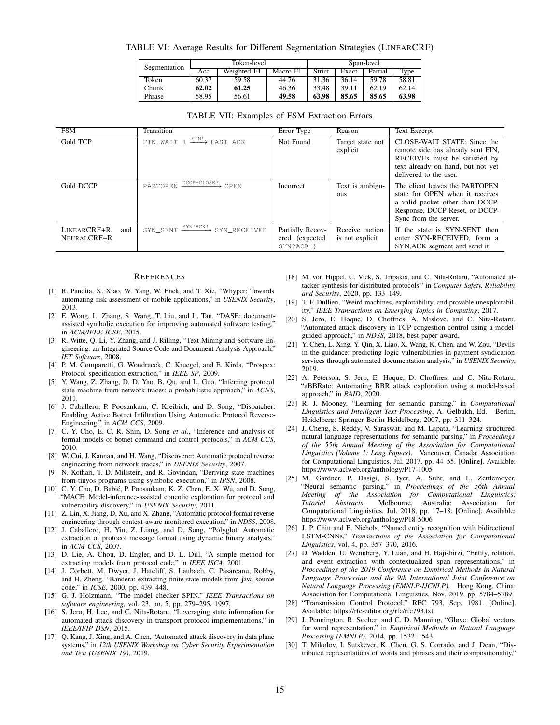TABLE VI: Average Results for Different Segmentation Strategies (LINEARCRF)

| Segmentation | Token-level |             |          | Span-level |       |         |       |
|--------------|-------------|-------------|----------|------------|-------|---------|-------|
|              | Acc         | Weighted F1 | Macro F1 | Strict     | Exact | Partial | Type  |
| Token        | 60.37       | 59.58       | 44.76    | 31.36      | 36.14 | 59.78   | 58.81 |
| Chunk        | 62.02       | 61.25       | 46.36    | 33.48      | 39.11 | 62.19   | 62.14 |
| Phrase       | 58.95       | 56.61       | 49.58    | 63.98      | 85.65 | 85.65   | 63.98 |

#### TABLE VII: Examples of FSM Extraction Errors

| FSM                               | Transition                                                                                         | Error Type                                      | Reason                            | <b>Text Excerpt</b>                                                                                                                                              |
|-----------------------------------|----------------------------------------------------------------------------------------------------|-------------------------------------------------|-----------------------------------|------------------------------------------------------------------------------------------------------------------------------------------------------------------|
| Gold TCP                          | $FIN$ WAIT $1 \xrightarrow{FIN!} LAST$ ACK                                                         | Not Found                                       | Target state not<br>explicit      | CLOSE-WAIT STATE: Since the<br>remote side has already sent FIN,<br>RECEIVEs must be satisfied by<br>text already on hand, but not yet<br>delivered to the user. |
| Gold DCCP                         | PARTOPEN DCCP-CLOSE? OPEN                                                                          | <b>Incorrect</b>                                | Text is ambigu-<br><b>OUS</b>     | The client leaves the PARTOPEN<br>state for OPEN when it receives<br>a valid packet other than DCCP-<br>Response, DCCP-Reset, or DCCP-<br>Sync from the server.  |
| LINEARCRF+R<br>and<br>NEURALCRE+R | $\overline{\mathtt{SYN\_SENT}} \xrightarrow{\mathtt{SYN}!\, \mathtt{ACK}!} \mathtt{SYN\_RECEIVED}$ | Partially Recov-<br>ered (expected<br>SYN?ACK!) | Receive action<br>is not explicit | If the state is SYN-SENT then<br>enter SYN-RECEIVED, form a<br>SYN, ACK segment and send it.                                                                     |

#### **REFERENCES**

- [1] R. Pandita, X. Xiao, W. Yang, W. Enck, and T. Xie, "Whyper: Towards automating risk assessment of mobile applications," in *USENIX Security*, 2013.
- [2] E. Wong, L. Zhang, S. Wang, T. Liu, and L. Tan, "DASE: documentassisted symbolic execution for improving automated software testing," in *ACM/IEEE ICSE*, 2015.
- [3] R. Witte, Q. Li, Y. Zhang, and J. Rilling, "Text Mining and Software Engineering: an Integrated Source Code and Document Analysis Approach," *IET Software*, 2008.
- [4] P. M. Comparetti, G. Wondracek, C. Kruegel, and E. Kirda, "Prospex: Protocol specification extraction," in *IEEE SP*, 2009.
- [5] Y. Wang, Z. Zhang, D. D. Yao, B. Qu, and L. Guo, "Inferring protocol state machine from network traces: a probabilistic approach," in *ACNS*, 2011.
- [6] J. Caballero, P. Poosankam, C. Kreibich, and D. Song, "Dispatcher: Enabling Active Botnet Infiltration Using Automatic Protocol Reverse-Engineering," in *ACM CCS*, 2009.
- [7] C. Y. Cho, E. C. R. Shin, D. Song *et al.*, "Inference and analysis of formal models of botnet command and control protocols," in *ACM CCS*, 2010.
- [8] W. Cui, J. Kannan, and H. Wang, "Discoverer: Automatic protocol reverse engineering from network traces," in *USENIX Security*, 2007.
- [9] N. Kothari, T. D. Millstein, and R. Govindan, "Deriving state machines from tinyos programs using symbolic execution," in *IPSN*, 2008.
- [10] C. Y. Cho, D. Babic, P. Poosankam, K. Z. Chen, E. X. Wu, and D. Song, ´ "MACE: Model-inference-assisted concolic exploration for protocol and vulnerability discovery," in *USENIX Security*, 2011.
- [11] Z. Lin, X. Jiang, D. Xu, and X. Zhang, "Automatic protocol format reverse engineering through context-aware monitored execution." in *NDSS*, 2008.
- [12] J. Caballero, H. Yin, Z. Liang, and D. Song, "Polyglot: Automatic extraction of protocol message format using dynamic binary analysis," in *ACM CCS*, 2007.
- [13] D. Lie, A. Chou, D. Engler, and D. L. Dill, "A simple method for extracting models from protocol code," in *IEEE ISCA*, 2001.
- [14] J. Corbett, M. Dwyer, J. Hatcliff, S. Laubach, C. Pasareanu, Robby, and H. Zheng, "Bandera: extracting finite-state models from java source code," in *ICSE*, 2000, pp. 439–448.
- [15] G. J. Holzmann, "The model checker SPIN," *IEEE Transactions on software engineering*, vol. 23, no. 5, pp. 279–295, 1997.
- [16] S. Jero, H. Lee, and C. Nita-Rotaru, "Leveraging state information for automated attack discovery in transport protocol implementations," in *IEEE/IFIP DSN*, 2015.
- [17] Q. Kang, J. Xing, and A. Chen, "Automated attack discovery in data plane systems," in *12th USENIX Workshop on Cyber Security Experimentation and Test (USENIX 19)*, 2019.
- [18] M. von Hippel, C. Vick, S. Tripakis, and C. Nita-Rotaru, "Automated attacker synthesis for distributed protocols," in *Computer Safety, Reliability, and Security*, 2020, pp. 133–149.
- [19] T. F. Dullien, "Weird machines, exploitability, and provable unexploitability," *IEEE Transactions on Emerging Topics in Computing*, 2017.
- [20] S. Jero, E. Hoque, D. Choffnes, A. Mislove, and C. Nita-Rotaru, "Automated attack discovery in TCP congestion control using a modelguided approach," in *NDSS*, 2018, best paper award.
- [21] Y. Chen, L. Xing, Y. Qin, X. Liao, X. Wang, K. Chen, and W. Zou, "Devils in the guidance: predicting logic vulnerabilities in payment syndication services through automated documentation analysis," in *USENIX Security*, 2019.
- [22] A. Peterson, S. Jero, E. Hoque, D. Choffnes, and C. Nita-Rotaru, "aBBRate: Automating BBR attack exploration using a model-based approach," in *RAID*, 2020.
- [23] R. J. Mooney, "Learning for semantic parsing," in *Computational Linguistics and Intelligent Text Processing*, A. Gelbukh, Ed. Berlin, Heidelberg: Springer Berlin Heidelberg, 2007, pp. 311–324.
- [24] J. Cheng, S. Reddy, V. Saraswat, and M. Lapata, "Learning structured natural language representations for semantic parsing," in *Proceedings of the 55th Annual Meeting of the Association for Computational Linguistics (Volume 1: Long Papers)*. Vancouver, Canada: Association for Computational Linguistics, Jul. 2017, pp. 44–55. [Online]. Available: https://www.aclweb.org/anthology/P17-1005
- [25] M. Gardner, P. Dasigi, S. Iyer, A. Suhr, and L. Zettlemoyer, "Neural semantic parsing," in *Proceedings of the 56th Annual Meeting of the Association for Computational Linguistics: Tutorial Abstracts*. Melbourne, Australia: Association for Computational Linguistics, Jul. 2018, pp. 17–18. [Online]. Available: https://www.aclweb.org/anthology/P18-5006
- [26] J. P. Chiu and E. Nichols, "Named entity recognition with bidirectional LSTM-CNNs," *Transactions of the Association for Computational Linguistics*, vol. 4, pp. 357–370, 2016.
- [27] D. Wadden, U. Wennberg, Y. Luan, and H. Hajishirzi, "Entity, relation, and event extraction with contextualized span representations," in *Proceedings of the 2019 Conference on Empirical Methods in Natural Language Processing and the 9th International Joint Conference on Natural Language Processing (EMNLP-IJCNLP)*. Hong Kong, China: Association for Computational Linguistics, Nov. 2019, pp. 5784–5789.
- [28] "Transmission Control Protocol," RFC 793, Sep. 1981. [Online]. Available: https://rfc-editor.org/rfc/rfc793.txt
- [29] J. Pennington, R. Socher, and C. D. Manning, "Glove: Global vectors for word representation," in *Empirical Methods in Natural Language Processing (EMNLP)*, 2014, pp. 1532–1543.
- [30] T. Mikolov, I. Sutskever, K. Chen, G. S. Corrado, and J. Dean, "Distributed representations of words and phrases and their compositionality,"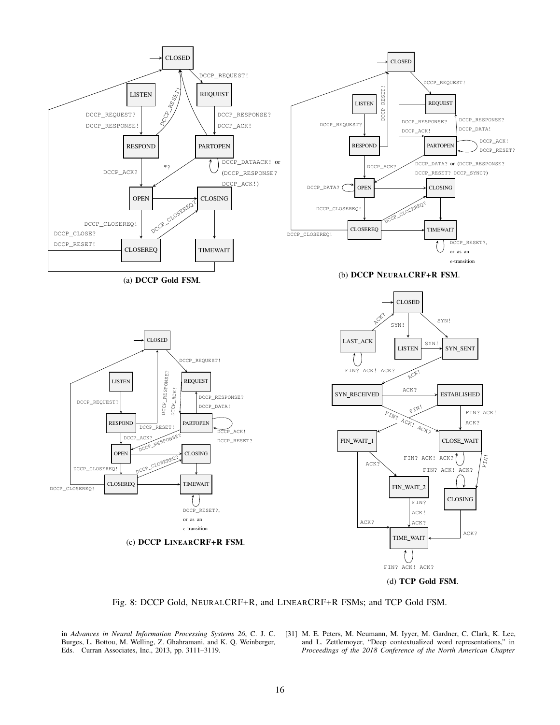

Fig. 8: DCCP Gold, NEURALCRF+R, and LINEARCRF+R FSMs; and TCP Gold FSM.

Burges, L. Bottou, M. Welling, Z. Ghahramani, and K. Q. Weinberger, Eds. Curran Associates, Inc., 2013, pp. 3111–3119.

in *Advances in Neural Information Processing Systems 26*, C. J. C. [31] M. E. Peters, M. Neumann, M. Iyyer, M. Gardner, C. Clark, K. Lee, and L. Zettlemoyer, "Deep contextualized word representations," in *Proceedings of the 2018 Conference of the North American Chapter*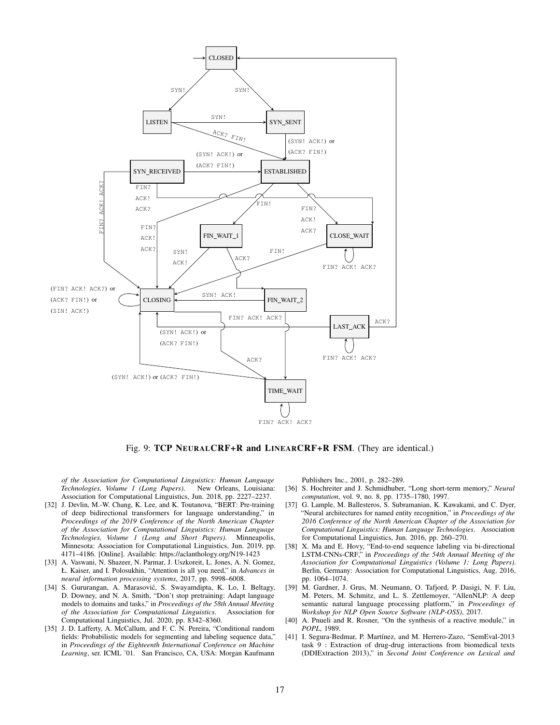

Fig. 9: TCP NEURALCRF+R and LINEARCRF+R FSM. (They are identical.)

*of the Association for Computational Linguistics: Human Language Technologies, Volume 1 (Long Papers).* Association for Computational Linguistics, Jun. 2018, pp. 2227–2237.

- [32] J. Devlin, M.-W. Chang, K. Lee, and K. Toutanova, "BERT: Pre-training of deep bidirectional transformers for language understanding," in *Proceedings of the 2019 Conference of the North American Chapter of the Association for Computational Linguistics: Human Language Technologies, Volume 1 (Long and Short Papers)*. Minneapolis, Minnesota: Association for Computational Linguistics, Jun. 2019, pp. 4171–4186. [Online]. Available: https://aclanthology.org/N19-1423
- [33] A. Vaswani, N. Shazeer, N. Parmar, J. Uszkoreit, L. Jones, A. N. Gomez, Ł. Kaiser, and I. Polosukhin, "Attention is all you need," in *Advances in neural information processing systems*, 2017, pp. 5998–6008.
- [34] S. Gururangan, A. Marasović, S. Swayamdipta, K. Lo, I. Beltagy, D. Downey, and N. A. Smith, "Don't stop pretraining: Adapt language models to domains and tasks," in *Proceedings of the 58th Annual Meeting of the Association for Computational Linguistics*. Association for Computational Linguistics, Jul. 2020, pp. 8342–8360.
- [35] J. D. Lafferty, A. McCallum, and F. C. N. Pereira, "Conditional random fields: Probabilistic models for segmenting and labeling sequence data," in *Proceedings of the Eighteenth International Conference on Machine Learning*, ser. ICML '01. San Francisco, CA, USA: Morgan Kaufmann

Publishers Inc., 2001, p. 282–289.

- [36] S. Hochreiter and J. Schmidhuber, "Long short-term memory," *Neural computation*, vol. 9, no. 8, pp. 1735–1780, 1997.
- [37] G. Lample, M. Ballesteros, S. Subramanian, K. Kawakami, and C. Dyer, "Neural architectures for named entity recognition," in *Proceedings of the 2016 Conference of the North American Chapter of the Association for Computational Linguistics: Human Language Technologies*. Association for Computational Linguistics, Jun. 2016, pp. 260–270.
- [38] X. Ma and E. Hovy, "End-to-end sequence labeling via bi-directional LSTM-CNNs-CRF," in *Proceedings of the 54th Annual Meeting of the Association for Computational Linguistics (Volume 1: Long Papers)*. Berlin, Germany: Association for Computational Linguistics, Aug. 2016, pp. 1064–1074.
- [39] M. Gardner, J. Grus, M. Neumann, O. Tafjord, P. Dasigi, N. F. Liu, M. Peters, M. Schmitz, and L. S. Zettlemoyer, "AllenNLP: A deep semantic natural language processing platform," in *Proceedings of Workshop for NLP Open Source Software (NLP-OSS)*, 2017.
- [40] A. Pnueli and R. Rosner, "On the synthesis of a reactive module," in *POPL*, 1989.
- [41] I. Segura-Bedmar, P. Martínez, and M. Herrero-Zazo, "SemEval-2013 task 9 : Extraction of drug-drug interactions from biomedical texts (DDIExtraction 2013)," in *Second Joint Conference on Lexical and*